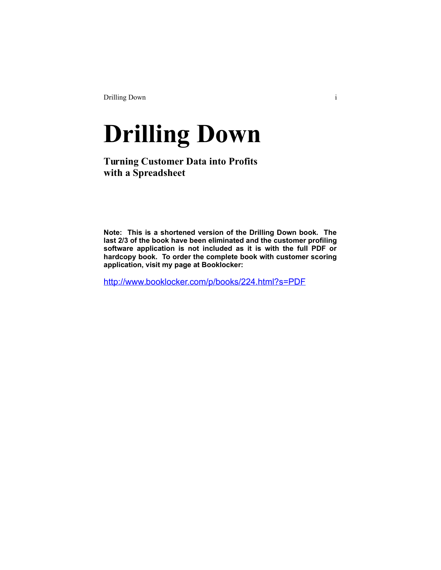# **Drilling Down**

# **Turning Customer Data into Profits with a Spreadsheet**

**Note: This is a shortened version of the Drilling Down book. The last 2/3 of the book have been eliminated and the customer profiling software application is not included as it is with the full PDF or hardcopy book. To order the complete book with customer scoring application, visit my page at Booklocker:**

[http://www.booklocker.com/p/books/224.html?s=PDF](http://www.booklocker.com/jimnovo)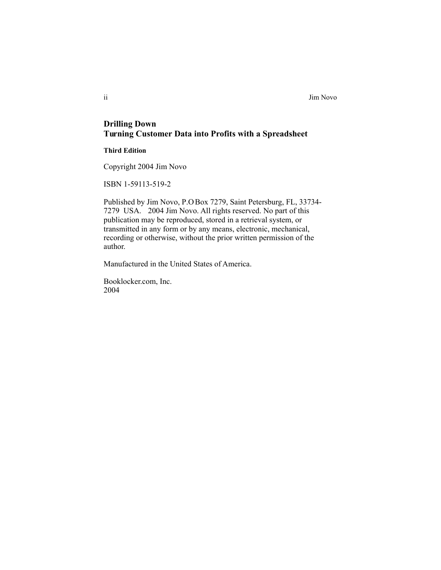### **Drilling Down Turning Customer Data into Profits with a Spreadsheet**

#### **Third Edition**

Copyright 2004 Jim Novo

ISBN 1-59113-519-2

Published by Jim Novo, P.O Box 7279, Saint Petersburg, FL, 33734- 7279 USA. 2004 Jim Novo. All rights reserved. No part of this publication may be reproduced, stored in a retrieval system, or transmitted in any form or by any means, electronic, mechanical, recording or otherwise, without the prior written permission of the author.

Manufactured in the United States of America.

Booklocker.com, Inc. 2004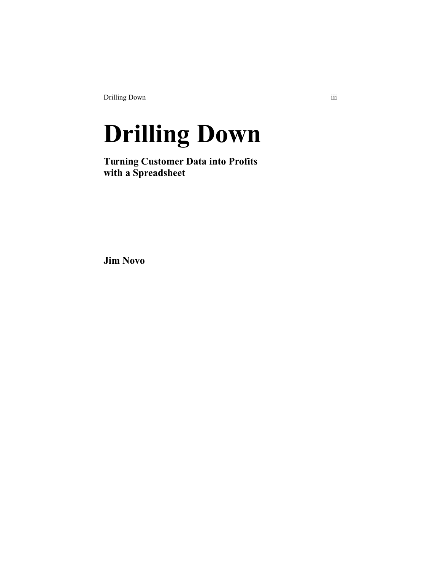Drilling Down iii

# **Drilling Down**

# **Turning Customer Data into Profits with a Spreadsheet**

**Jim Novo**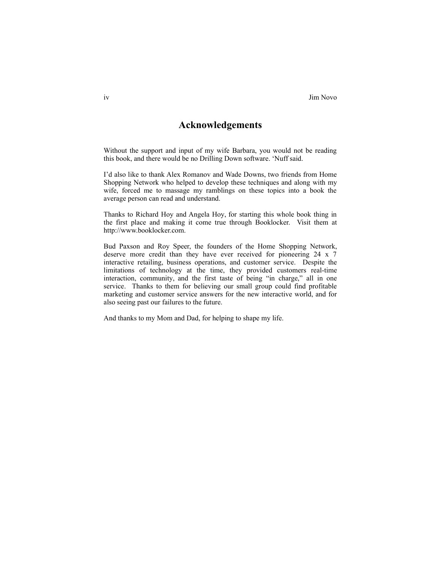### **Acknowledgements**

Without the support and input of my wife Barbara, you would not be reading this book, and there would be no Drilling Down software. 'Nuff said.

I'd also like to thank Alex Romanov and Wade Downs, two friends from Home Shopping Network who helped to develop these techniques and along with my wife, forced me to massage my ramblings on these topics into a book the average person can read and understand.

Thanks to Richard Hoy and Angela Hoy, for starting this whole book thing in the first place and making it come true through Booklocker. Visit them at http://www.booklocker.com.

Bud Paxson and Roy Speer, the founders of the Home Shopping Network, deserve more credit than they have ever received for pioneering 24 x 7 interactive retailing, business operations, and customer service. Despite the limitations of technology at the time, they provided customers real-time interaction, community, and the first taste of being "in charge," all in one service. Thanks to them for believing our small group could find profitable marketing and customer service answers for the new interactive world, and for also seeing past our failures to the future.

And thanks to my Mom and Dad, for helping to shape my life.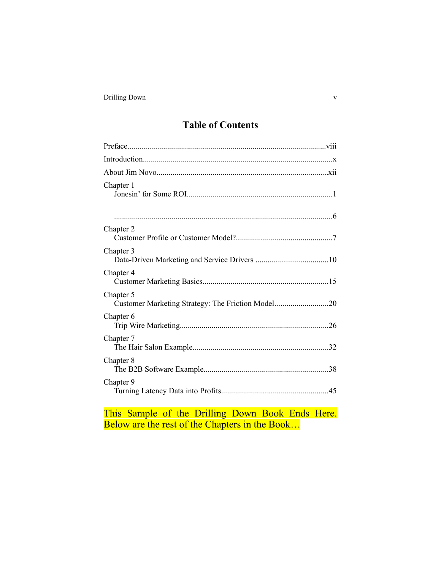# **Table of Contents**

| Chapter 1                                                      |
|----------------------------------------------------------------|
|                                                                |
| Chapter 2                                                      |
| Chapter 3                                                      |
| Chapter 4                                                      |
| Chapter 5<br>Customer Marketing Strategy: The Friction Model20 |
| Chapter 6                                                      |
| Chapter 7                                                      |
| Chapter 8                                                      |
| Chapter 9                                                      |

This Sample of the Drilling Down Book Ends Here. Below are the rest of the Chapters in the Book...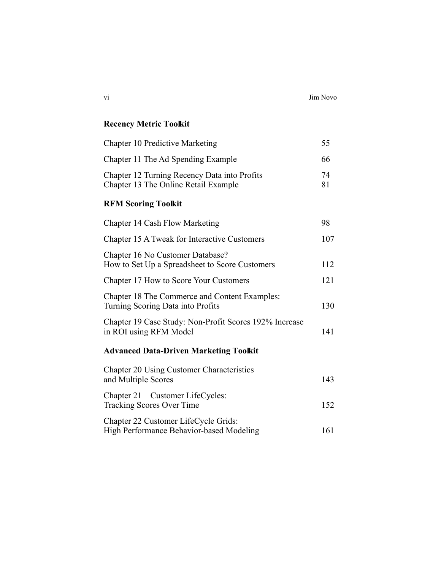# **Recency Metric Toolkit**

| <b>Chapter 10 Predictive Marketing</b>                                               | 55       |
|--------------------------------------------------------------------------------------|----------|
| Chapter 11 The Ad Spending Example                                                   | 66       |
| Chapter 12 Turning Recency Data into Profits<br>Chapter 13 The Online Retail Example | 74<br>81 |
| <b>RFM Scoring Toolkit</b>                                                           |          |
| Chapter 14 Cash Flow Marketing                                                       | 98       |
| Chapter 15 A Tweak for Interactive Customers                                         | 107      |
| Chapter 16 No Customer Database?<br>How to Set Up a Spreadsheet to Score Customers   | 112      |
| Chapter 17 How to Score Your Customers                                               | 121      |
| Chapter 18 The Commerce and Content Examples:<br>Turning Scoring Data into Profits   | 130      |
| Chapter 19 Case Study: Non-Profit Scores 192% Increase<br>in ROI using RFM Model     | 141      |
| <b>Advanced Data-Driven Marketing Toolkit</b>                                        |          |
| <b>Chapter 20 Using Customer Characteristics</b><br>and Multiple Scores              | 143      |
| Chapter 21 Customer LifeCycles:<br><b>Tracking Scores Over Time</b>                  | 152      |
| Chapter 22 Customer LifeCycle Grids:<br>High Performance Behavior-based Modeling     | 161      |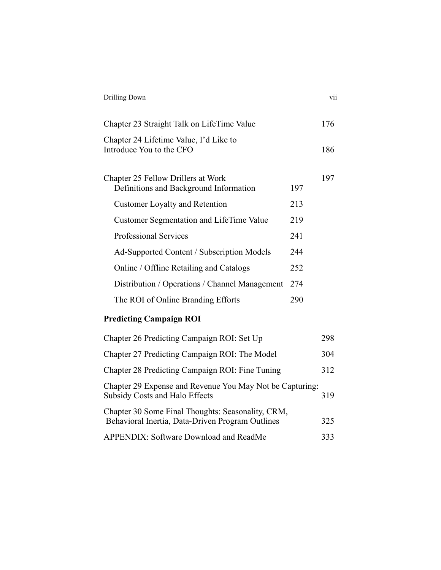| Drilling Down                                                                                     |     | vii |
|---------------------------------------------------------------------------------------------------|-----|-----|
| Chapter 23 Straight Talk on LifeTime Value                                                        |     | 176 |
| Chapter 24 Lifetime Value, I'd Like to<br>Introduce You to the CFO                                |     | 186 |
| Chapter 25 Fellow Drillers at Work<br>Definitions and Background Information                      | 197 | 197 |
| <b>Customer Loyalty and Retention</b>                                                             | 213 |     |
| Customer Segmentation and LifeTime Value                                                          | 219 |     |
| <b>Professional Services</b>                                                                      | 241 |     |
| Ad-Supported Content / Subscription Models                                                        | 244 |     |
| Online / Offline Retailing and Catalogs                                                           | 252 |     |
| Distribution / Operations / Channel Management                                                    | 274 |     |
| The ROI of Online Branding Efforts                                                                | 290 |     |
| <b>Predicting Campaign ROI</b>                                                                    |     |     |
| Chapter 26 Predicting Campaign ROI: Set Up                                                        |     | 298 |
| Chapter 27 Predicting Campaign ROI: The Model                                                     |     | 304 |
| Chapter 28 Predicting Campaign ROI: Fine Tuning                                                   |     | 312 |
| Chapter 29 Expense and Revenue You May Not be Capturing:<br><b>Subsidy Costs and Halo Effects</b> |     | 319 |

Chapter 30 Some Final Thoughts: Seasonality, CRM,

Behavioral Inertia, Data-Driven Program Outlines 325

APPENDIX: Software Download and ReadMe 333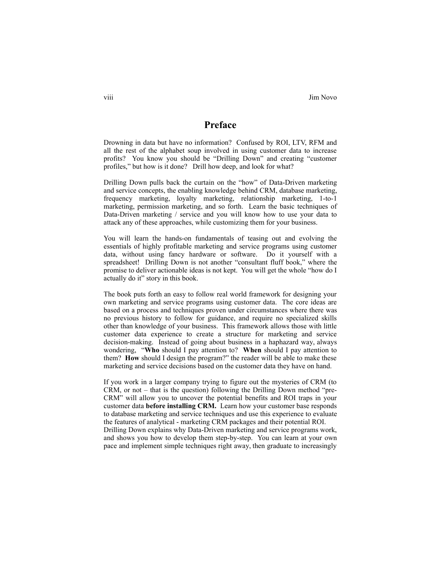## **Preface**

Drowning in data but have no information? Confused by ROI, LTV, RFM and all the rest of the alphabet soup involved in using customer data to increase profits? You know you should be "Drilling Down" and creating "customer profiles," but how is it done? Drill how deep, and look for what?

Drilling Down pulls back the curtain on the "how" of Data-Driven marketing and service concepts, the enabling knowledge behind CRM, database marketing, frequency marketing, loyalty marketing, relationship marketing, 1-to-1 marketing, permission marketing, and so forth. Learn the basic techniques of Data-Driven marketing / service and you will know how to use your data to attack any of these approaches, while customizing them for your business.

You will learn the hands-on fundamentals of teasing out and evolving the essentials of highly profitable marketing and service programs using customer data, without using fancy hardware or software. Do it yourself with a spreadsheet! Drilling Down is not another "consultant fluff book," where the promise to deliver actionable ideas is not kept. You will get the whole "how do I actually do it" story in this book.

The book puts forth an easy to follow real world framework for designing your own marketing and service programs using customer data. The core ideas are based on a process and techniques proven under circumstances where there was no previous history to follow for guidance, and require no specialized skills other than knowledge of your business. This framework allows those with little customer data experience to create a structure for marketing and service decision-making. Instead of going about business in a haphazard way, always wondering, "**Who** should I pay attention to? **When** should I pay attention to them? **How** should I design the program?" the reader will be able to make these marketing and service decisions based on the customer data they have on hand.

If you work in a larger company trying to figure out the mysteries of CRM (to CRM, or not – that is the question) following the Drilling Down method "pre-CRM" will allow you to uncover the potential benefits and ROI traps in your customer data **before installing CRM.** Learn how your customer base responds to database marketing and service techniques and use this experience to evaluate the features of analytical - marketing CRM packages and their potential ROI. Drilling Down explains why Data-Driven marketing and service programs work, and shows you how to develop them step-by-step. You can learn at your own pace and implement simple techniques right away, then graduate to increasingly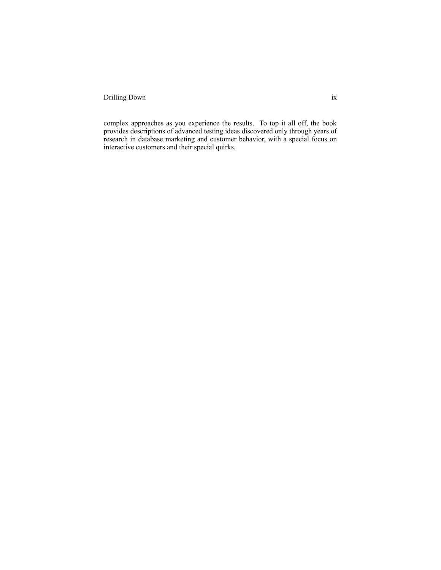Drilling Down ix

complex approaches as you experience the results. To top it all off, the book provides descriptions of advanced testing ideas discovered only through years of research in database marketing and customer behavior, with a special focus on interactive customers and their special quirks.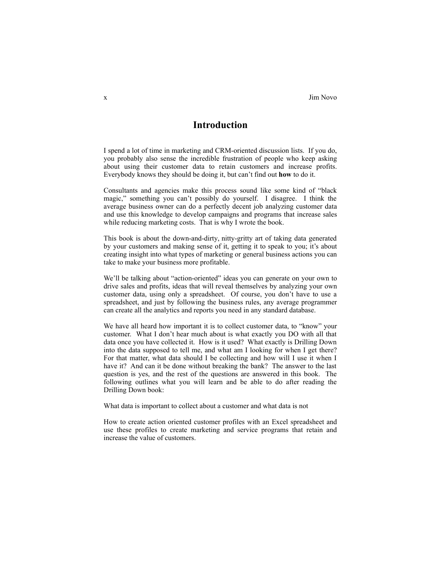## **Introduction**

I spend a lot of time in marketing and CRM-oriented discussion lists. If you do, you probably also sense the incredible frustration of people who keep asking about using their customer data to retain customers and increase profits. Everybody knows they should be doing it, but can't find out **how** to do it.

Consultants and agencies make this process sound like some kind of "black magic," something you can't possibly do yourself. I disagree. I think the average business owner can do a perfectly decent job analyzing customer data and use this knowledge to develop campaigns and programs that increase sales while reducing marketing costs. That is why I wrote the book.

This book is about the down-and-dirty, nitty-gritty art of taking data generated by your customers and making sense of it, getting it to speak to you; it's about creating insight into what types of marketing or general business actions you can take to make your business more profitable.

We'll be talking about "action-oriented" ideas you can generate on your own to drive sales and profits, ideas that will reveal themselves by analyzing your own customer data, using only a spreadsheet. Of course, you don't have to use a spreadsheet, and just by following the business rules, any average programmer can create all the analytics and reports you need in any standard database.

We have all heard how important it is to collect customer data, to "know" your customer. What I don't hear much about is what exactly you DO with all that data once you have collected it. How is it used? What exactly is Drilling Down into the data supposed to tell me, and what am I looking for when I get there? For that matter, what data should I be collecting and how will I use it when I have it? And can it be done without breaking the bank? The answer to the last question is yes, and the rest of the questions are answered in this book. The following outlines what you will learn and be able to do after reading the Drilling Down book:

What data is important to collect about a customer and what data is not

How to create action oriented customer profiles with an Excel spreadsheet and use these profiles to create marketing and service programs that retain and increase the value of customers.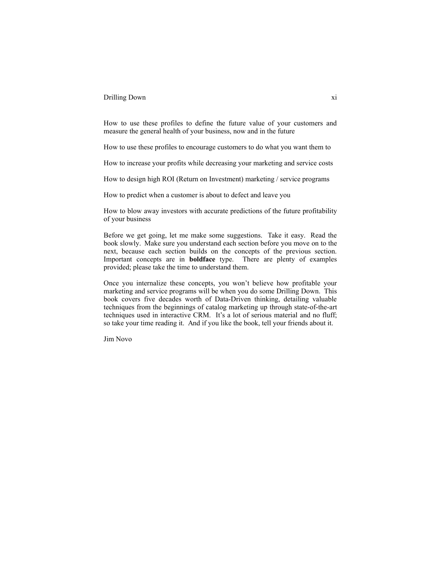#### Drilling Down xi

How to use these profiles to define the future value of your customers and measure the general health of your business, now and in the future

How to use these profiles to encourage customers to do what you want them to

How to increase your profits while decreasing your marketing and service costs

How to design high ROI (Return on Investment) marketing / service programs

How to predict when a customer is about to defect and leave you

How to blow away investors with accurate predictions of the future profitability of your business

Before we get going, let me make some suggestions. Take it easy. Read the book slowly. Make sure you understand each section before you move on to the next, because each section builds on the concepts of the previous section. Important concepts are in **boldface** type. There are plenty of examples provided; please take the time to understand them.

Once you internalize these concepts, you won't believe how profitable your marketing and service programs will be when you do some Drilling Down. This book covers five decades worth of Data-Driven thinking, detailing valuable techniques from the beginnings of catalog marketing up through state-of-the-art techniques used in interactive CRM. It's a lot of serious material and no fluff; so take your time reading it. And if you like the book, tell your friends about it.

Jim Novo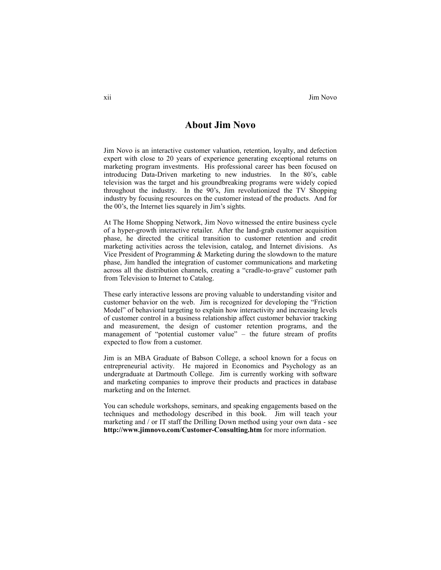## **About Jim Novo**

Jim Novo is an interactive customer valuation, retention, loyalty, and defection expert with close to 20 years of experience generating exceptional returns on marketing program investments. His professional career has been focused on introducing Data-Driven marketing to new industries. In the 80's, cable television was the target and his groundbreaking programs were widely copied throughout the industry. In the 90's, Jim revolutionized the TV Shopping industry by focusing resources on the customer instead of the products. And for the 00's, the Internet lies squarely in Jim's sights.

At The Home Shopping Network, Jim Novo witnessed the entire business cycle of a hyper-growth interactive retailer. After the land-grab customer acquisition phase, he directed the critical transition to customer retention and credit marketing activities across the television, catalog, and Internet divisions. As Vice President of Programming & Marketing during the slowdown to the mature phase, Jim handled the integration of customer communications and marketing across all the distribution channels, creating a "cradle-to-grave" customer path from Television to Internet to Catalog.

These early interactive lessons are proving valuable to understanding visitor and customer behavior on the web. Jim is recognized for developing the "Friction Model" of behavioral targeting to explain how interactivity and increasing levels of customer control in a business relationship affect customer behavior tracking and measurement, the design of customer retention programs, and the management of "potential customer value" – the future stream of profits expected to flow from a customer.

Jim is an MBA Graduate of Babson College, a school known for a focus on entrepreneurial activity. He majored in Economics and Psychology as an undergraduate at Dartmouth College. Jim is currently working with software and marketing companies to improve their products and practices in database marketing and on the Internet.

You can schedule workshops, seminars, and speaking engagements based on the techniques and methodology described in this book. Jim will teach your marketing and / or IT staff the Drilling Down method using your own data - see **http://www.jimnovo.com/Customer-Consulting.htm** for more information.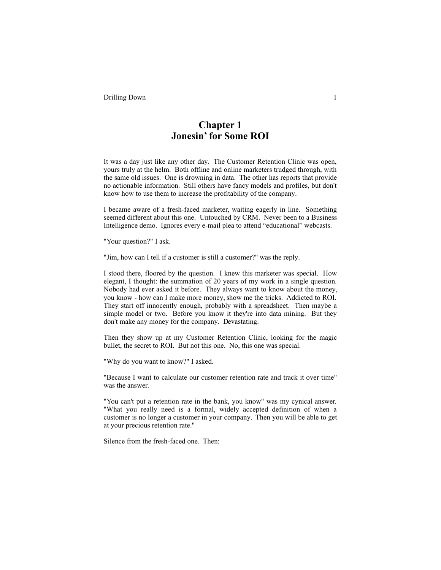# **Chapter 1 Jonesin' for Some ROI**

It was a day just like any other day. The Customer Retention Clinic was open, yours truly at the helm. Both offline and online marketers trudged through, with the same old issues. One is drowning in data. The other has reports that provide no actionable information. Still others have fancy models and profiles, but don't know how to use them to increase the profitability of the company.

I became aware of a fresh-faced marketer, waiting eagerly in line. Something seemed different about this one. Untouched by CRM. Never been to a Business Intelligence demo. Ignores every e-mail plea to attend "educational" webcasts.

"Your question?" I ask.

"Jim, how can I tell if a customer is still a customer?" was the reply.

I stood there, floored by the question. I knew this marketer was special. How elegant, I thought: the summation of 20 years of my work in a single question. Nobody had ever asked it before. They always want to know about the money, you know - how can I make more money, show me the tricks. Addicted to ROI. They start off innocently enough, probably with a spreadsheet. Then maybe a simple model or two. Before you know it they're into data mining. But they don't make any money for the company. Devastating.

Then they show up at my Customer Retention Clinic, looking for the magic bullet, the secret to ROI. But not this one. No, this one was special.

"Why do you want to know?" I asked.

"Because I want to calculate our customer retention rate and track it over time" was the answer.

"You can't put a retention rate in the bank, you know" was my cynical answer. "What you really need is a formal, widely accepted definition of when a customer is no longer a customer in your company. Then you will be able to get at your precious retention rate."

Silence from the fresh-faced one. Then: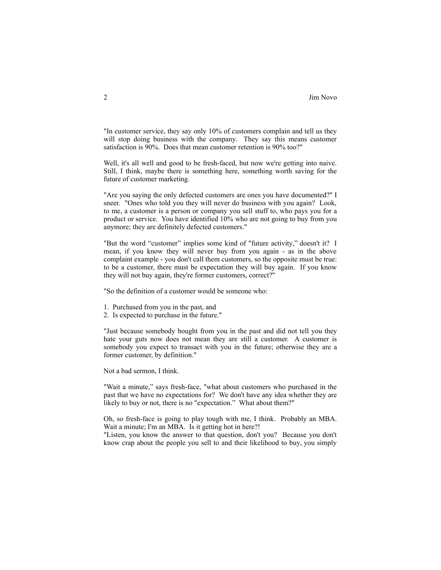"In customer service, they say only 10% of customers complain and tell us they will stop doing business with the company. They say this means customer satisfaction is 90%. Does that mean customer retention is 90% too?"

Well, it's all well and good to be fresh-faced, but now we're getting into naive. Still, I think, maybe there is something here, something worth saving for the future of customer marketing.

"Are you saying the only defected customers are ones you have documented?" I sneer. "Ones who told you they will never do business with you again? Look, to me, a customer is a person or company you sell stuff to, who pays you for a product or service. You have identified 10% who are not going to buy from you anymore; they are definitely defected customers."

"But the word "customer" implies some kind of "future activity," doesn't it? I mean, if you know they will never buy from you again - as in the above complaint example - you don't call them customers, so the opposite must be true: to be a customer, there must be expectation they will buy again. If you know they will not buy again, they're former customers, correct?"

"So the definition of a customer would be someone who:

- 1. Purchased from you in the past, and
- 2. Is expected to purchase in the future."

"Just because somebody bought from you in the past and did not tell you they hate your guts now does not mean they are still a customer. A customer is somebody you expect to transact with you in the future; otherwise they are a former customer, by definition."

Not a bad sermon, I think.

"Wait a minute," says fresh-face, "what about customers who purchased in the past that we have no expectations for? We don't have any idea whether they are likely to buy or not, there is no "expectation." What about them?"

Oh, so fresh-face is going to play tough with me, I think. Probably an MBA. Wait a minute; I'm an MBA. Is it getting hot in here?!

"Listen, you know the answer to that question, don't you? Because you don't know crap about the people you sell to and their likelihood to buy, you simply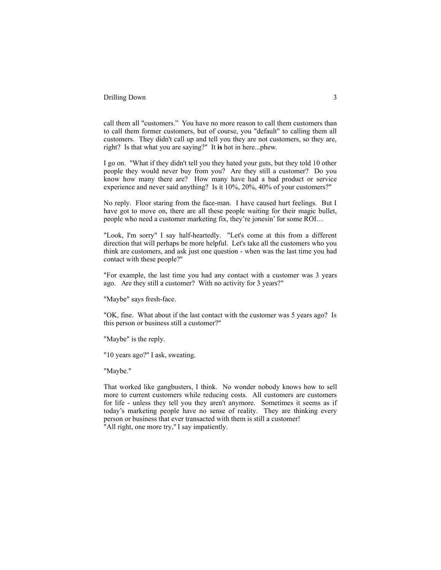call them all "customers." You have no more reason to call them customers than to call them former customers, but of course, you "default" to calling them all customers. They didn't call up and tell you they are not customers, so they are, right? Is that what you are saying?" It **is** hot in here...phew.

I go on. "What if they didn't tell you they hated your guts, but they told 10 other people they would never buy from you? Are they still a customer? Do you know how many there are? How many have had a bad product or service experience and never said anything? Is it 10%, 20%, 40% of your customers?"

No reply. Floor staring from the face-man. I have caused hurt feelings. But I have got to move on, there are all these people waiting for their magic bullet, people who need a customer marketing fix, they're jonesin' for some ROI…

"Look, I'm sorry" I say half-heartedly. "Let's come at this from a different direction that will perhaps be more helpful. Let's take all the customers who you think are customers, and ask just one question - when was the last time you had contact with these people?"

"For example, the last time you had any contact with a customer was 3 years ago. Are they still a customer? With no activity for 3 years?"

"Maybe" says fresh-face.

"OK, fine. What about if the last contact with the customer was 5 years ago? Is this person or business still a customer?"

"Maybe" is the reply.

"10 years ago?" I ask, sweating.

"Maybe."

That worked like gangbusters, I think. No wonder nobody knows how to sell more to current customers while reducing costs. All customers are customers for life - unless they tell you they aren't anymore. Sometimes it seems as if today's marketing people have no sense of reality. They are thinking every person or business that ever transacted with them is still a customer! "All right, one more try," I say impatiently.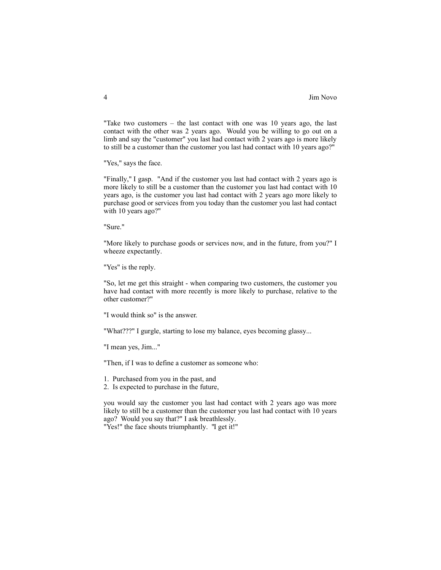"Take two customers – the last contact with one was 10 years ago, the last contact with the other was 2 years ago. Would you be willing to go out on a limb and say the "customer" you last had contact with 2 years ago is more likely to still be a customer than the customer you last had contact with 10 years ago?"

"Yes," says the face.

"Finally," I gasp. "And if the customer you last had contact with 2 years ago is more likely to still be a customer than the customer you last had contact with 10 years ago, is the customer you last had contact with 2 years ago more likely to purchase good or services from you today than the customer you last had contact with 10 years ago?"

"Sure."

"More likely to purchase goods or services now, and in the future, from you?" I wheeze expectantly.

"Yes" is the reply.

"So, let me get this straight - when comparing two customers, the customer you have had contact with more recently is more likely to purchase, relative to the other customer?"

"I would think so" is the answer.

"What???" I gurgle, starting to lose my balance, eyes becoming glassy...

"I mean yes, Jim..."

"Then, if I was to define a customer as someone who:

1. Purchased from you in the past, and

2. Is expected to purchase in the future,

you would say the customer you last had contact with 2 years ago was more likely to still be a customer than the customer you last had contact with 10 years ago? Would you say that?" I ask breathlessly.

"Yes!" the face shouts triumphantly. "I get it!"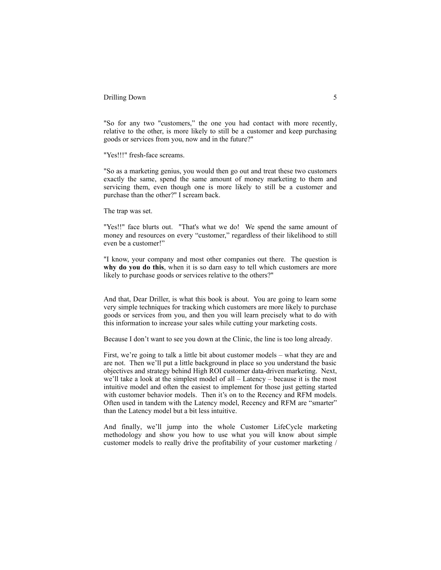"So for any two "customers," the one you had contact with more recently, relative to the other, is more likely to still be a customer and keep purchasing goods or services from you, now and in the future?"

#### "Yes!!!" fresh-face screams.

"So as a marketing genius, you would then go out and treat these two customers exactly the same, spend the same amount of money marketing to them and servicing them, even though one is more likely to still be a customer and purchase than the other?" I scream back.

The trap was set.

"Yes!!" face blurts out. "That's what we do! We spend the same amount of money and resources on every "customer," regardless of their likelihood to still even be a customer!"

"I know, your company and most other companies out there. The question is **why do you do this**, when it is so darn easy to tell which customers are more likely to purchase goods or services relative to the others?"

And that, Dear Driller, is what this book is about. You are going to learn some very simple techniques for tracking which customers are more likely to purchase goods or services from you, and then you will learn precisely what to do with this information to increase your sales while cutting your marketing costs.

Because I don't want to see you down at the Clinic, the line is too long already.

First, we're going to talk a little bit about customer models – what they are and are not. Then we'll put a little background in place so you understand the basic objectives and strategy behind High ROI customer data-driven marketing. Next, we'll take a look at the simplest model of all – Latency – because it is the most intuitive model and often the easiest to implement for those just getting started with customer behavior models. Then it's on to the Recency and RFM models. Often used in tandem with the Latency model, Recency and RFM are "smarter" than the Latency model but a bit less intuitive.

And finally, we'll jump into the whole Customer LifeCycle marketing methodology and show you how to use what you will know about simple customer models to really drive the profitability of your customer marketing /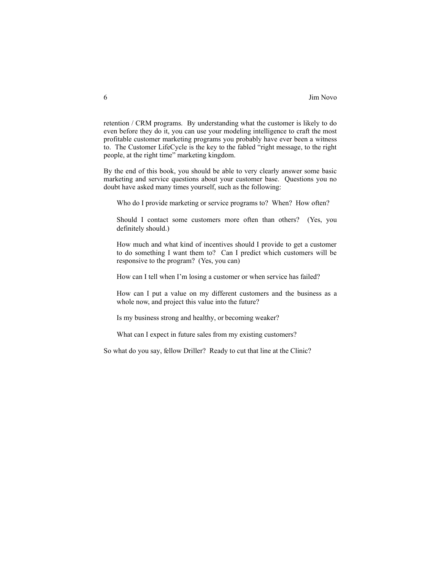retention / CRM programs. By understanding what the customer is likely to do even before they do it, you can use your modeling intelligence to craft the most profitable customer marketing programs you probably have ever been a witness to. The Customer LifeCycle is the key to the fabled "right message, to the right people, at the right time" marketing kingdom.

By the end of this book, you should be able to very clearly answer some basic marketing and service questions about your customer base. Questions you no doubt have asked many times yourself, such as the following:

Who do I provide marketing or service programs to? When? How often?

Should I contact some customers more often than others? (Yes, you definitely should.)

How much and what kind of incentives should I provide to get a customer to do something I want them to? Can I predict which customers will be responsive to the program? (Yes, you can)

How can I tell when I'm losing a customer or when service has failed?

How can I put a value on my different customers and the business as a whole now, and project this value into the future?

Is my business strong and healthy, or becoming weaker?

What can I expect in future sales from my existing customers?

So what do you say, fellow Driller? Ready to cut that line at the Clinic?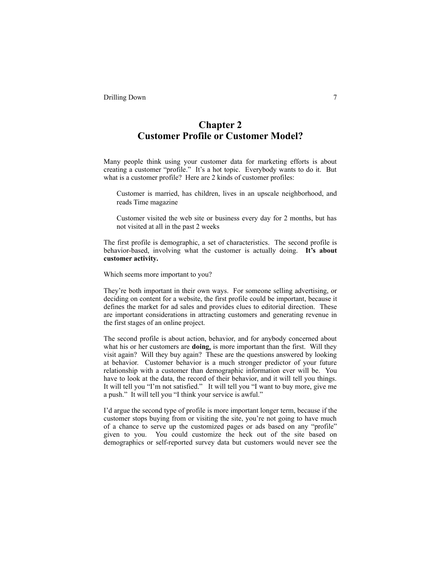# **Chapter 2 Customer Profile or Customer Model?**

Many people think using your customer data for marketing efforts is about creating a customer "profile." It's a hot topic. Everybody wants to do it. But what is a customer profile? Here are 2 kinds of customer profiles:

Customer is married, has children, lives in an upscale neighborhood, and reads Time magazine

Customer visited the web site or business every day for 2 months, but has not visited at all in the past 2 weeks

The first profile is demographic, a set of characteristics. The second profile is behavior-based, involving what the customer is actually doing. **It's about customer activity.**

Which seems more important to you?

They're both important in their own ways. For someone selling advertising, or deciding on content for a website, the first profile could be important, because it defines the market for ad sales and provides clues to editorial direction. These are important considerations in attracting customers and generating revenue in the first stages of an online project.

The second profile is about action, behavior, and for anybody concerned about what his or her customers are **doing**, is more important than the first. Will they visit again? Will they buy again? These are the questions answered by looking at behavior. Customer behavior is a much stronger predictor of your future relationship with a customer than demographic information ever will be. You have to look at the data, the record of their behavior, and it will tell you things. It will tell you "I'm not satisfied." It will tell you "I want to buy more, give me a push." It will tell you "I think your service is awful."

I'd argue the second type of profile is more important longer term, because if the customer stops buying from or visiting the site, you're not going to have much of a chance to serve up the customized pages or ads based on any "profile" given to you. You could customize the heck out of the site based on demographics or self-reported survey data but customers would never see the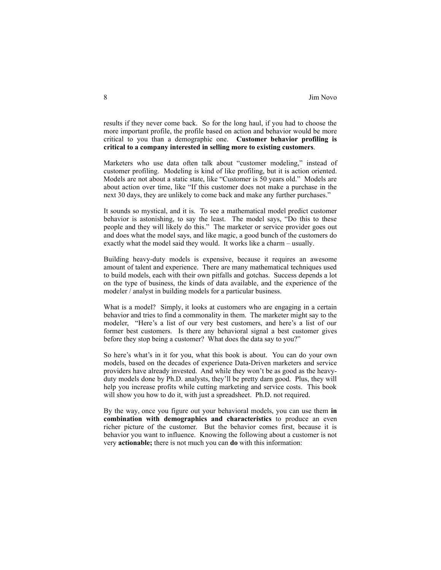results if they never come back. So for the long haul, if you had to choose the more important profile, the profile based on action and behavior would be more critical to you than a demographic one. **Customer behavior profiling is critical to a company interested in selling more to existing customers**.

Marketers who use data often talk about "customer modeling," instead of customer profiling. Modeling is kind of like profiling, but it is action oriented. Models are not about a static state, like "Customer is 50 years old." Models are about action over time, like "If this customer does not make a purchase in the next 30 days, they are unlikely to come back and make any further purchases."

It sounds so mystical, and it is. To see a mathematical model predict customer behavior is astonishing, to say the least. The model says, "Do this to these people and they will likely do this." The marketer or service provider goes out and does what the model says, and like magic, a good bunch of the customers do exactly what the model said they would. It works like a charm – usually.

Building heavy-duty models is expensive, because it requires an awesome amount of talent and experience. There are many mathematical techniques used to build models, each with their own pitfalls and gotchas. Success depends a lot on the type of business, the kinds of data available, and the experience of the modeler / analyst in building models for a particular business.

What is a model? Simply, it looks at customers who are engaging in a certain behavior and tries to find a commonality in them. The marketer might say to the modeler, "Here's a list of our very best customers, and here's a list of our former best customers. Is there any behavioral signal a best customer gives before they stop being a customer? What does the data say to you?"

So here's what's in it for you, what this book is about. You can do your own models, based on the decades of experience Data-Driven marketers and service providers have already invested. And while they won't be as good as the heavyduty models done by Ph.D. analysts, they'll be pretty darn good. Plus, they will help you increase profits while cutting marketing and service costs. This book will show you how to do it, with just a spreadsheet. Ph.D. not required.

By the way, once you figure out your behavioral models, you can use them **in combination with demographics and characteristics** to produce an even richer picture of the customer. But the behavior comes first, because it is behavior you want to influence. Knowing the following about a customer is not very **actionable;** there is not much you can **do** with this information: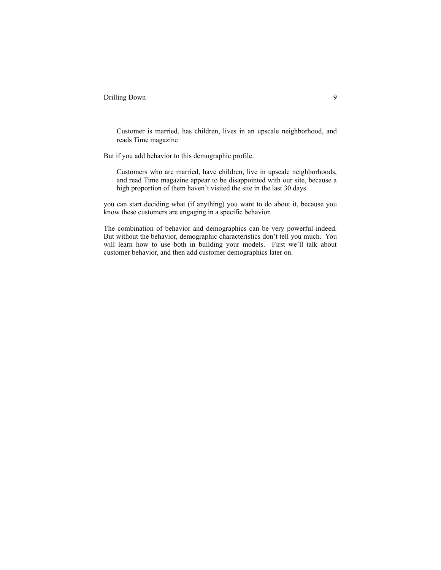Customer is married, has children, lives in an upscale neighborhood, and reads Time magazine

But if you add behavior to this demographic profile:

Customers who are married, have children, live in upscale neighborhoods, and read Time magazine appear to be disappointed with our site, because a high proportion of them haven't visited the site in the last 30 days

you can start deciding what (if anything) you want to do about it, because you know these customers are engaging in a specific behavior.

The combination of behavior and demographics can be very powerful indeed. But without the behavior, demographic characteristics don't tell you much. You will learn how to use both in building your models. First we'll talk about customer behavior, and then add customer demographics later on.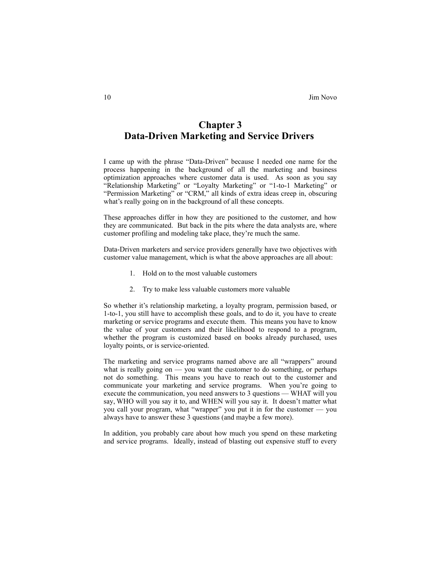# **Chapter 3 Data-Driven Marketing and Service Drivers**

I came up with the phrase "Data-Driven" because I needed one name for the process happening in the background of all the marketing and business optimization approaches where customer data is used. As soon as you say "Relationship Marketing" or "Loyalty Marketing" or "1-to-1 Marketing" or "Permission Marketing" or "CRM," all kinds of extra ideas creep in, obscuring what's really going on in the background of all these concepts.

These approaches differ in how they are positioned to the customer, and how they are communicated. But back in the pits where the data analysts are, where customer profiling and modeling take place, they're much the same.

Data-Driven marketers and service providers generally have two objectives with customer value management, which is what the above approaches are all about:

- 1. Hold on to the most valuable customers
- 2. Try to make less valuable customers more valuable

So whether it's relationship marketing, a loyalty program, permission based, or 1-to-1, you still have to accomplish these goals, and to do it, you have to create marketing or service programs and execute them. This means you have to know the value of your customers and their likelihood to respond to a program, whether the program is customized based on books already purchased, uses loyalty points, or is service-oriented.

The marketing and service programs named above are all "wrappers" around what is really going on — you want the customer to do something, or perhaps not do something. This means you have to reach out to the customer and communicate your marketing and service programs. When you're going to execute the communication, you need answers to 3 questions — WHAT will you say, WHO will you say it to, and WHEN will you say it. It doesn't matter what you call your program, what "wrapper" you put it in for the customer — you always have to answer these 3 questions (and maybe a few more).

In addition, you probably care about how much you spend on these marketing and service programs. Ideally, instead of blasting out expensive stuff to every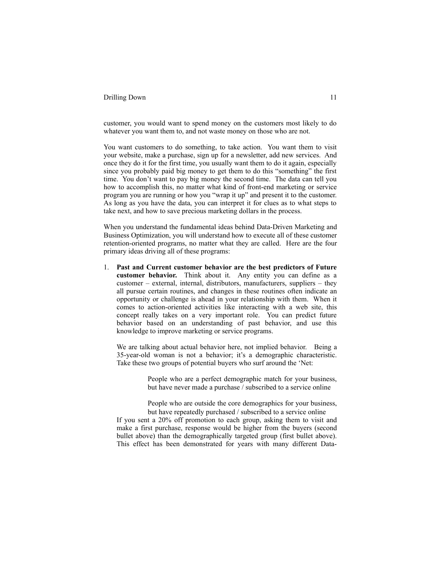customer, you would want to spend money on the customers most likely to do whatever you want them to, and not waste money on those who are not.

You want customers to do something, to take action. You want them to visit your website, make a purchase, sign up for a newsletter, add new services. And once they do it for the first time, you usually want them to do it again, especially since you probably paid big money to get them to do this "something" the first time. You don't want to pay big money the second time. The data can tell you how to accomplish this, no matter what kind of front-end marketing or service program you are running or how you "wrap it up" and present it to the customer. As long as you have the data, you can interpret it for clues as to what steps to take next, and how to save precious marketing dollars in the process.

When you understand the fundamental ideas behind Data-Driven Marketing and Business Optimization, you will understand how to execute all of these customer retention-oriented programs, no matter what they are called. Here are the four primary ideas driving all of these programs:

1. **Past and Current customer behavior are the best predictors of Future customer behavior.** Think about it. Any entity you can define as a customer – external, internal, distributors, manufacturers, suppliers – they all pursue certain routines, and changes in these routines often indicate an opportunity or challenge is ahead in your relationship with them. When it comes to action-oriented activities like interacting with a web site, this concept really takes on a very important role. You can predict future behavior based on an understanding of past behavior, and use this knowledge to improve marketing or service programs.

We are talking about actual behavior here, not implied behavior. Being a 35-year-old woman is not a behavior; it's a demographic characteristic. Take these two groups of potential buyers who surf around the 'Net:

> People who are a perfect demographic match for your business, but have never made a purchase / subscribed to a service online

> People who are outside the core demographics for your business, but have repeatedly purchased / subscribed to a service online

If you sent a 20% off promotion to each group, asking them to visit and make a first purchase, response would be higher from the buyers (second bullet above) than the demographically targeted group (first bullet above). This effect has been demonstrated for years with many different Data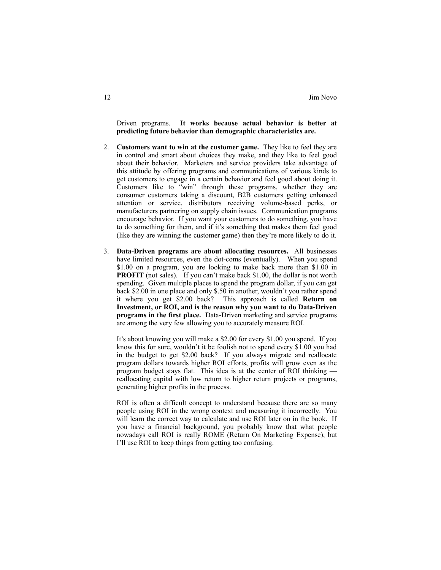Driven programs. **It works because actual behavior is better at predicting future behavior than demographic characteristics are.**

- 2. **Customers want to win at the customer game.** They like to feel they are in control and smart about choices they make, and they like to feel good about their behavior. Marketers and service providers take advantage of this attitude by offering programs and communications of various kinds to get customers to engage in a certain behavior and feel good about doing it. Customers like to "win" through these programs, whether they are consumer customers taking a discount, B2B customers getting enhanced attention or service, distributors receiving volume-based perks, or manufacturers partnering on supply chain issues. Communication programs encourage behavior. If you want your customers to do something, you have to do something for them, and if it's something that makes them feel good (like they are winning the customer game) then they're more likely to do it.
- 3. **Data-Driven programs are about allocating resources.** All businesses have limited resources, even the dot-coms (eventually). When you spend \$1.00 on a program, you are looking to make back more than \$1.00 in **PROFIT** (not sales). If you can't make back \$1.00, the dollar is not worth spending. Given multiple places to spend the program dollar, if you can get back \$2.00 in one place and only \$.50 in another, wouldn't you rather spend it where you get \$2.00 back? This approach is called **Return on Investment, or ROI, and is the reason why you want to do Data-Driven programs in the first place.** Data-Driven marketing and service programs are among the very few allowing you to accurately measure ROI.

It's about knowing you will make a \$2.00 for every \$1.00 you spend. If you know this for sure, wouldn't it be foolish not to spend every \$1.00 you had in the budget to get \$2.00 back? If you always migrate and reallocate program dollars towards higher ROI efforts, profits will grow even as the program budget stays flat. This idea is at the center of ROI thinking reallocating capital with low return to higher return projects or programs, generating higher profits in the process.

ROI is often a difficult concept to understand because there are so many people using ROI in the wrong context and measuring it incorrectly. You will learn the correct way to calculate and use ROI later on in the book. If you have a financial background, you probably know that what people nowadays call ROI is really ROME (Return On Marketing Expense), but I'll use ROI to keep things from getting too confusing.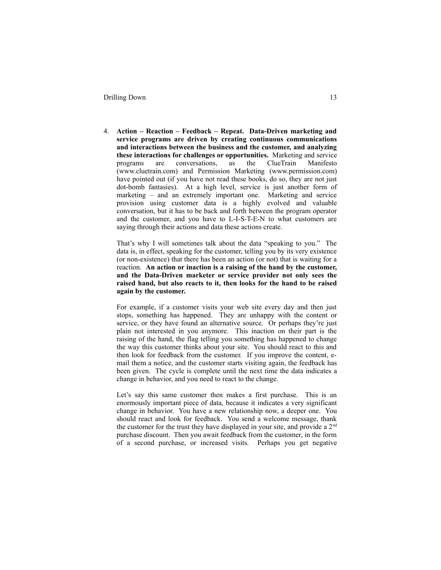4. **Action – Reaction – Feedback – Repeat. Data-Driven marketing and service programs are driven by creating continuous communications and interactions between the business and the customer, and analyzing these interactions for challenges or opportunities.** Marketing and service programs are conversations, as the ClueTrain Manifesto (www.cluetrain.com) and Permission Marketing (www.permission.com) have pointed out (if you have not read these books, do so, they are not just dot-bomb fantasies). At a high level, service is just another form of marketing – and an extremely important one. Marketing and service provision using customer data is a highly evolved and valuable conversation, but it has to be back and forth between the program operator and the customer, and you have to L-I-S-T-E-N to what customers are saying through their actions and data these actions create.

That's why I will sometimes talk about the data "speaking to you." The data is, in effect, speaking for the customer, telling you by its very existence (or non-existence) that there has been an action (or not) that is waiting for a reaction. **An action or inaction is a raising of the hand by the customer, and the Data-Driven marketer or service provider not only sees the raised hand, but also reacts to it, then looks for the hand to be raised again by the customer.**

For example, if a customer visits your web site every day and then just stops, something has happened. They are unhappy with the content or service, or they have found an alternative source. Or perhaps they're just plain not interested in you anymore. This inaction on their part is the raising of the hand, the flag telling you something has happened to change the way this customer thinks about your site. You should react to this and then look for feedback from the customer. If you improve the content, email them a notice, and the customer starts visiting again, the feedback has been given. The cycle is complete until the next time the data indicates a change in behavior, and you need to react to the change.

Let's say this same customer then makes a first purchase. This is an enormously important piece of data, because it indicates a very significant change in behavior. You have a new relationship now, a deeper one. You should react and look for feedback. You send a welcome message, thank the customer for the trust they have displayed in your site, and provide a  $2<sup>nd</sup>$ purchase discount. Then you await feedback from the customer, in the form of a second purchase, or increased visits. Perhaps you get negative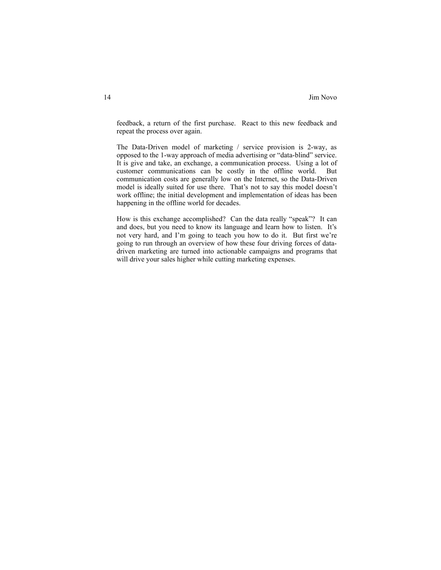feedback, a return of the first purchase. React to this new feedback and repeat the process over again.

The Data-Driven model of marketing / service provision is 2-way, as opposed to the 1-way approach of media advertising or "data-blind" service. It is give and take, an exchange, a communication process. Using a lot of customer communications can be costly in the offline world. But communication costs are generally low on the Internet, so the Data-Driven model is ideally suited for use there. That's not to say this model doesn't work offline; the initial development and implementation of ideas has been happening in the offline world for decades.

How is this exchange accomplished? Can the data really "speak"? It can and does, but you need to know its language and learn how to listen. It's not very hard, and I'm going to teach you how to do it. But first we're going to run through an overview of how these four driving forces of datadriven marketing are turned into actionable campaigns and programs that will drive your sales higher while cutting marketing expenses.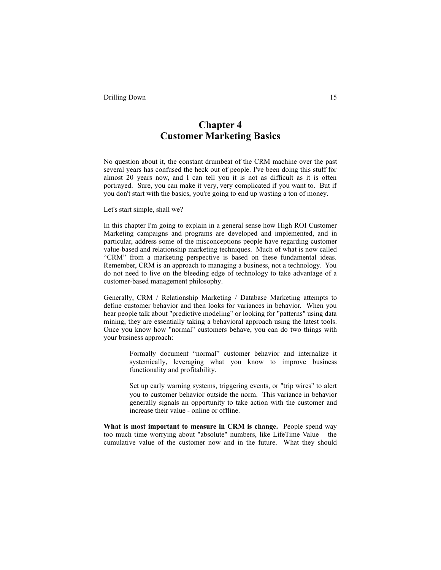# **Chapter 4 Customer Marketing Basics**

No question about it, the constant drumbeat of the CRM machine over the past several years has confused the heck out of people. I've been doing this stuff for almost 20 years now, and I can tell you it is not as difficult as it is often portrayed. Sure, you can make it very, very complicated if you want to. But if you don't start with the basics, you're going to end up wasting a ton of money.

Let's start simple, shall we?

In this chapter I'm going to explain in a general sense how High ROI Customer Marketing campaigns and programs are developed and implemented, and in particular, address some of the misconceptions people have regarding customer value-based and relationship marketing techniques. Much of what is now called "CRM" from a marketing perspective is based on these fundamental ideas. Remember, CRM is an approach to managing a business, not a technology. You do not need to live on the bleeding edge of technology to take advantage of a customer-based management philosophy.

Generally, CRM / Relationship Marketing / Database Marketing attempts to define customer behavior and then looks for variances in behavior. When you hear people talk about "predictive modeling" or looking for "patterns" using data mining, they are essentially taking a behavioral approach using the latest tools. Once you know how "normal" customers behave, you can do two things with your business approach:

> Formally document "normal" customer behavior and internalize it systemically, leveraging what you know to improve business functionality and profitability.

> Set up early warning systems, triggering events, or "trip wires" to alert you to customer behavior outside the norm. This variance in behavior generally signals an opportunity to take action with the customer and increase their value - online or offline.

**What is most important to measure in CRM is change.** People spend way too much time worrying about "absolute" numbers, like LifeTime Value – the cumulative value of the customer now and in the future. What they should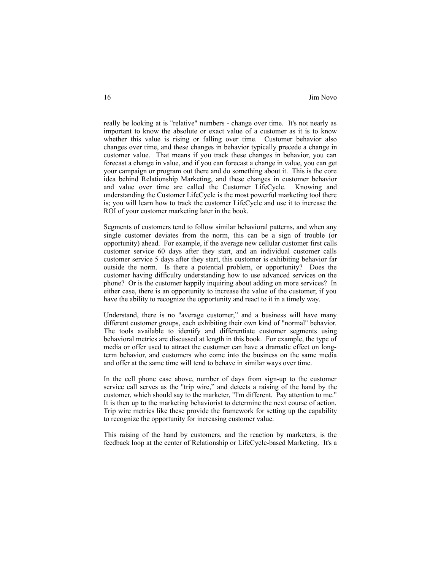really be looking at is "relative" numbers - change over time. It's not nearly as important to know the absolute or exact value of a customer as it is to know whether this value is rising or falling over time. Customer behavior also changes over time, and these changes in behavior typically precede a change in customer value. That means if you track these changes in behavior, you can forecast a change in value, and if you can forecast a change in value, you can get your campaign or program out there and do something about it. This is the core idea behind Relationship Marketing, and these changes in customer behavior and value over time are called the Customer LifeCycle. Knowing and understanding the Customer LifeCycle is the most powerful marketing tool there is; you will learn how to track the customer LifeCycle and use it to increase the ROI of your customer marketing later in the book.

Segments of customers tend to follow similar behavioral patterns, and when any single customer deviates from the norm, this can be a sign of trouble (or opportunity) ahead. For example, if the average new cellular customer first calls customer service 60 days after they start, and an individual customer calls customer service 5 days after they start, this customer is exhibiting behavior far outside the norm. Is there a potential problem, or opportunity? Does the customer having difficulty understanding how to use advanced services on the phone? Or is the customer happily inquiring about adding on more services? In either case, there is an opportunity to increase the value of the customer, if you have the ability to recognize the opportunity and react to it in a timely way.

Understand, there is no "average customer," and a business will have many different customer groups, each exhibiting their own kind of "normal" behavior. The tools available to identify and differentiate customer segments using behavioral metrics are discussed at length in this book. For example, the type of media or offer used to attract the customer can have a dramatic effect on longterm behavior, and customers who come into the business on the same media and offer at the same time will tend to behave in similar ways over time.

In the cell phone case above, number of days from sign-up to the customer service call serves as the "trip wire," and detects a raising of the hand by the customer, which should say to the marketer, "I'm different. Pay attention to me." It is then up to the marketing behaviorist to determine the next course of action. Trip wire metrics like these provide the framework for setting up the capability to recognize the opportunity for increasing customer value.

This raising of the hand by customers, and the reaction by marketers, is the feedback loop at the center of Relationship or LifeCycle-based Marketing. It's a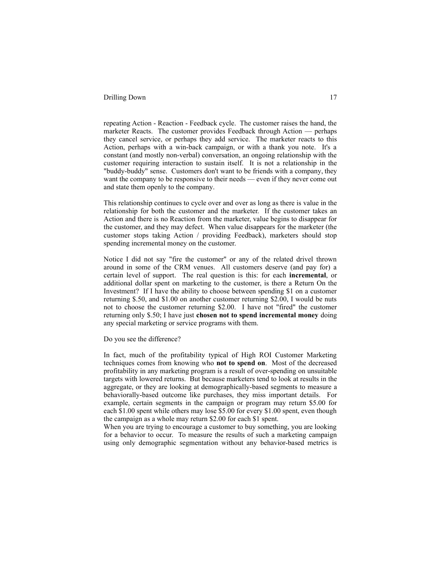repeating Action - Reaction - Feedback cycle. The customer raises the hand, the marketer Reacts. The customer provides Feedback through Action — perhaps they cancel service, or perhaps they add service. The marketer reacts to this Action, perhaps with a win-back campaign, or with a thank you note. It's a constant (and mostly non-verbal) conversation, an ongoing relationship with the customer requiring interaction to sustain itself. It is not a relationship in the "buddy-buddy" sense. Customers don't want to be friends with a company, they want the company to be responsive to their needs — even if they never come out and state them openly to the company.

This relationship continues to cycle over and over as long as there is value in the relationship for both the customer and the marketer. If the customer takes an Action and there is no Reaction from the marketer, value begins to disappear for the customer, and they may defect. When value disappears for the marketer (the customer stops taking Action / providing Feedback), marketers should stop spending incremental money on the customer.

Notice I did not say "fire the customer" or any of the related drivel thrown around in some of the CRM venues. All customers deserve (and pay for) a certain level of support. The real question is this: for each **incremental**, or additional dollar spent on marketing to the customer, is there a Return On the Investment? If I have the ability to choose between spending \$1 on a customer returning \$.50, and \$1.00 on another customer returning \$2.00, I would be nuts not to choose the customer returning \$2.00. I have not "fired" the customer returning only \$.50; I have just **chosen not to spend incremental money** doing any special marketing or service programs with them.

Do you see the difference?

In fact, much of the profitability typical of High ROI Customer Marketing techniques comes from knowing who **not to spend on**. Most of the decreased profitability in any marketing program is a result of over-spending on unsuitable targets with lowered returns. But because marketers tend to look at results in the aggregate, or they are looking at demographically-based segments to measure a behaviorally-based outcome like purchases, they miss important details. For example, certain segments in the campaign or program may return \$5.00 for each \$1.00 spent while others may lose \$5.00 for every \$1.00 spent, even though the campaign as a whole may return \$2.00 for each \$1 spent.

When you are trying to encourage a customer to buy something, you are looking for a behavior to occur. To measure the results of such a marketing campaign using only demographic segmentation without any behavior-based metrics is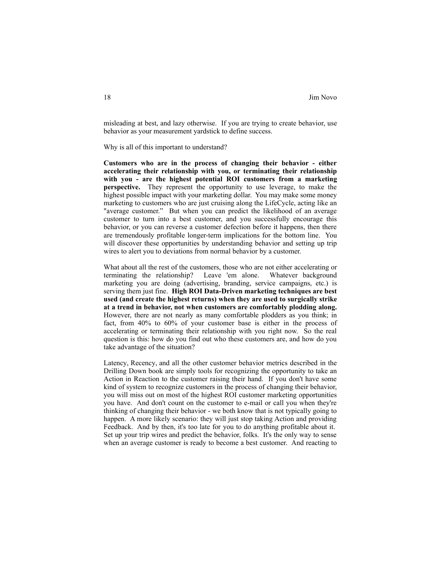misleading at best, and lazy otherwise. If you are trying to create behavior, use behavior as your measurement yardstick to define success.

Why is all of this important to understand?

**Customers who are in the process of changing their behavior - either accelerating their relationship with you, or terminating their relationship with you - are the highest potential ROI customers from a marketing perspective.** They represent the opportunity to use leverage, to make the highest possible impact with your marketing dollar. You may make some money marketing to customers who are just cruising along the LifeCycle, acting like an "average customer." But when you can predict the likelihood of an average customer to turn into a best customer, and you successfully encourage this behavior, or you can reverse a customer defection before it happens, then there are tremendously profitable longer-term implications for the bottom line. You will discover these opportunities by understanding behavior and setting up trip wires to alert you to deviations from normal behavior by a customer.

What about all the rest of the customers, those who are not either accelerating or terminating the relationship? Leave 'em alone. Whatever background marketing you are doing (advertising, branding, service campaigns, etc.) is serving them just fine. **High ROI Data-Driven marketing techniques are best used (and create the highest returns) when they are used to surgically strike at a trend in behavior, not when customers are comfortably plodding along.** However, there are not nearly as many comfortable plodders as you think; in fact, from 40% to 60% of your customer base is either in the process of accelerating or terminating their relationship with you right now. So the real question is this: how do you find out who these customers are, and how do you take advantage of the situation?

Latency, Recency, and all the other customer behavior metrics described in the Drilling Down book are simply tools for recognizing the opportunity to take an Action in Reaction to the customer raising their hand. If you don't have some kind of system to recognize customers in the process of changing their behavior, you will miss out on most of the highest ROI customer marketing opportunities you have. And don't count on the customer to e-mail or call you when they're thinking of changing their behavior - we both know that is not typically going to happen. A more likely scenario: they will just stop taking Action and providing Feedback. And by then, it's too late for you to do anything profitable about it. Set up your trip wires and predict the behavior, folks. It's the only way to sense when an average customer is ready to become a best customer. And reacting to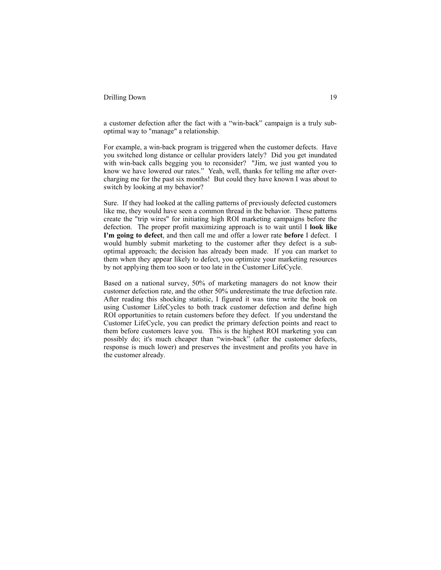a customer defection after the fact with a "win-back" campaign is a truly suboptimal way to "manage" a relationship.

For example, a win-back program is triggered when the customer defects. Have you switched long distance or cellular providers lately? Did you get inundated with win-back calls begging you to reconsider? "Jim, we just wanted you to know we have lowered our rates." Yeah, well, thanks for telling me after overcharging me for the past six months! But could they have known I was about to switch by looking at my behavior?

Sure. If they had looked at the calling patterns of previously defected customers like me, they would have seen a common thread in the behavior. These patterns create the "trip wires" for initiating high ROI marketing campaigns before the defection. The proper profit maximizing approach is to wait until I **look like I'm going to defect**, and then call me and offer a lower rate **before** I defect. I would humbly submit marketing to the customer after they defect is a suboptimal approach; the decision has already been made. If you can market to them when they appear likely to defect, you optimize your marketing resources by not applying them too soon or too late in the Customer LifeCycle.

Based on a national survey, 50% of marketing managers do not know their customer defection rate, and the other 50% underestimate the true defection rate. After reading this shocking statistic, I figured it was time write the book on using Customer LifeCycles to both track customer defection and define high ROI opportunities to retain customers before they defect. If you understand the Customer LifeCycle, you can predict the primary defection points and react to them before customers leave you. This is the highest ROI marketing you can possibly do; it's much cheaper than "win-back" (after the customer defects, response is much lower) and preserves the investment and profits you have in the customer already.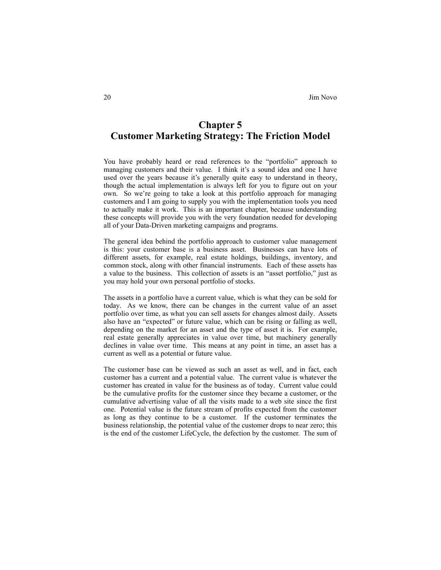# **Chapter 5 Customer Marketing Strategy: The Friction Model**

You have probably heard or read references to the "portfolio" approach to managing customers and their value. I think it's a sound idea and one I have used over the years because it's generally quite easy to understand in theory, though the actual implementation is always left for you to figure out on your own. So we're going to take a look at this portfolio approach for managing customers and I am going to supply you with the implementation tools you need to actually make it work. This is an important chapter, because understanding these concepts will provide you with the very foundation needed for developing all of your Data-Driven marketing campaigns and programs.

The general idea behind the portfolio approach to customer value management is this: your customer base is a business asset. Businesses can have lots of different assets, for example, real estate holdings, buildings, inventory, and common stock, along with other financial instruments. Each of these assets has a value to the business. This collection of assets is an "asset portfolio," just as you may hold your own personal portfolio of stocks.

The assets in a portfolio have a current value, which is what they can be sold for today. As we know, there can be changes in the current value of an asset portfolio over time, as what you can sell assets for changes almost daily. Assets also have an "expected" or future value, which can be rising or falling as well, depending on the market for an asset and the type of asset it is. For example, real estate generally appreciates in value over time, but machinery generally declines in value over time. This means at any point in time, an asset has a current as well as a potential or future value.

The customer base can be viewed as such an asset as well, and in fact, each customer has a current and a potential value. The current value is whatever the customer has created in value for the business as of today. Current value could be the cumulative profits for the customer since they became a customer, or the cumulative advertising value of all the visits made to a web site since the first one. Potential value is the future stream of profits expected from the customer as long as they continue to be a customer. If the customer terminates the business relationship, the potential value of the customer drops to near zero; this is the end of the customer LifeCycle, the defection by the customer. The sum of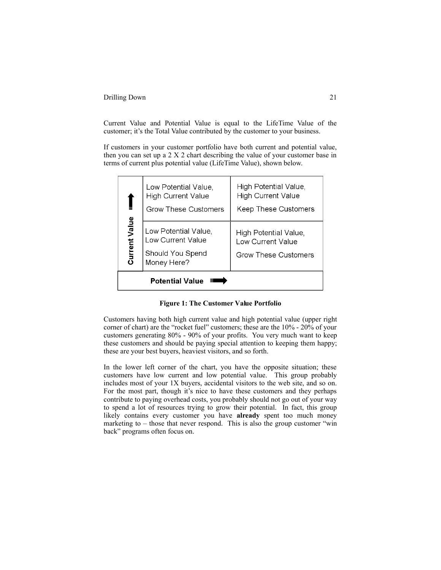Current Value and Potential Value is equal to the LifeTime Value of the customer; it's the Total Value contributed by the customer to your business.

If customers in your customer portfolio have both current and potential value, then you can set up a 2 X 2 chart describing the value of your customer base in terms of current plus potential value (LifeTime Value), shown below.

| I                      | Low Potential Value,<br><b>High Current Value</b><br><b>Grow These Customers</b> | High Potential Value,<br><b>High Current Value</b><br>Keep These Customers |
|------------------------|----------------------------------------------------------------------------------|----------------------------------------------------------------------------|
| <b>Current Value</b>   | Low Potential Value,<br>Low Current Value<br>Should You Spend<br>Money Here?     | High Potential Value,<br>Low Current Value<br><b>Grow These Customers</b>  |
| <b>Potential Value</b> |                                                                                  |                                                                            |

**Figure 1: The Customer Value Portfolio**

Customers having both high current value and high potential value (upper right corner of chart) are the "rocket fuel" customers; these are the 10% - 20% of your customers generating 80% - 90% of your profits. You very much want to keep these customers and should be paying special attention to keeping them happy; these are your best buyers, heaviest visitors, and so forth.

In the lower left corner of the chart, you have the opposite situation; these customers have low current and low potential value. This group probably includes most of your 1X buyers, accidental visitors to the web site, and so on. For the most part, though it's nice to have these customers and they perhaps contribute to paying overhead costs, you probably should not go out of your way to spend a lot of resources trying to grow their potential. In fact, this group likely contains every customer you have **already** spent too much money marketing to – those that never respond. This is also the group customer "win back" programs often focus on.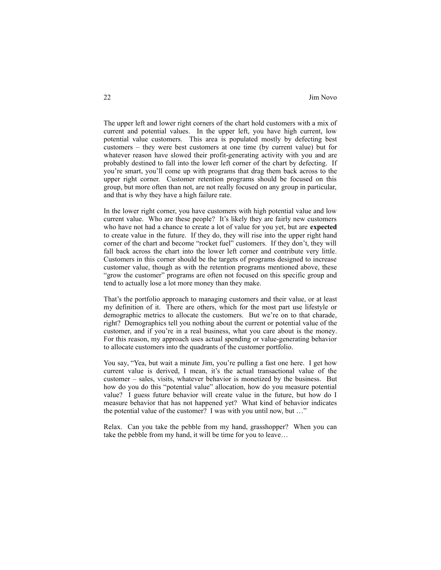The upper left and lower right corners of the chart hold customers with a mix of current and potential values. In the upper left, you have high current, low potential value customers. This area is populated mostly by defecting best customers – they were best customers at one time (by current value) but for whatever reason have slowed their profit-generating activity with you and are probably destined to fall into the lower left corner of the chart by defecting. If you're smart, you'll come up with programs that drag them back across to the upper right corner. Customer retention programs should be focused on this group, but more often than not, are not really focused on any group in particular, and that is why they have a high failure rate.

In the lower right corner, you have customers with high potential value and low current value. Who are these people? It's likely they are fairly new customers who have not had a chance to create a lot of value for you yet, but are **expected** to create value in the future. If they do, they will rise into the upper right hand corner of the chart and become "rocket fuel" customers. If they don't, they will fall back across the chart into the lower left corner and contribute very little. Customers in this corner should be the targets of programs designed to increase customer value, though as with the retention programs mentioned above, these "grow the customer" programs are often not focused on this specific group and tend to actually lose a lot more money than they make.

That's the portfolio approach to managing customers and their value, or at least my definition of it. There are others, which for the most part use lifestyle or demographic metrics to allocate the customers. But we're on to that charade, right? Demographics tell you nothing about the current or potential value of the customer, and if you're in a real business, what you care about is the money. For this reason, my approach uses actual spending or value-generating behavior to allocate customers into the quadrants of the customer portfolio.

You say, "Yea, but wait a minute Jim, you're pulling a fast one here. I get how current value is derived, I mean, it's the actual transactional value of the customer – sales, visits, whatever behavior is monetized by the business. But how do you do this "potential value" allocation, how do you measure potential value? I guess future behavior will create value in the future, but how do I measure behavior that has not happened yet? What kind of behavior indicates the potential value of the customer? I was with you until now, but …"

Relax. Can you take the pebble from my hand, grasshopper? When you can take the pebble from my hand, it will be time for you to leave…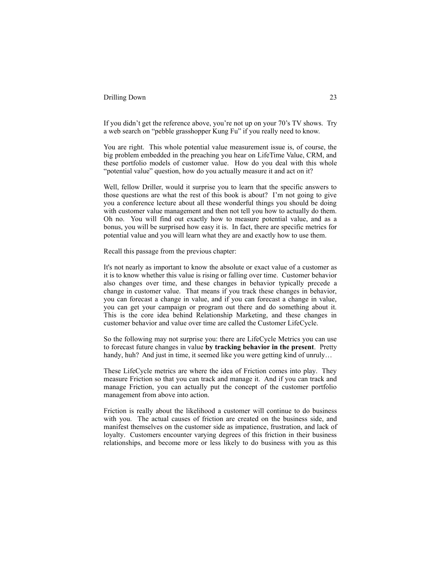If you didn't get the reference above, you're not up on your 70's TV shows. Try a web search on "pebble grasshopper Kung Fu" if you really need to know.

You are right. This whole potential value measurement issue is, of course, the big problem embedded in the preaching you hear on LifeTime Value, CRM, and these portfolio models of customer value. How do you deal with this whole "potential value" question, how do you actually measure it and act on it?

Well, fellow Driller, would it surprise you to learn that the specific answers to those questions are what the rest of this book is about? I'm not going to give you a conference lecture about all these wonderful things you should be doing with customer value management and then not tell you how to actually do them. Oh no. You will find out exactly how to measure potential value, and as a bonus, you will be surprised how easy it is. In fact, there are specific metrics for potential value and you will learn what they are and exactly how to use them.

Recall this passage from the previous chapter:

It's not nearly as important to know the absolute or exact value of a customer as it is to know whether this value is rising or falling over time. Customer behavior also changes over time, and these changes in behavior typically precede a change in customer value. That means if you track these changes in behavior, you can forecast a change in value, and if you can forecast a change in value, you can get your campaign or program out there and do something about it. This is the core idea behind Relationship Marketing, and these changes in customer behavior and value over time are called the Customer LifeCycle.

So the following may not surprise you: there are LifeCycle Metrics you can use to forecast future changes in value **by tracking behavior in the present**. Pretty handy, huh? And just in time, it seemed like you were getting kind of unruly...

These LifeCycle metrics are where the idea of Friction comes into play. They measure Friction so that you can track and manage it. And if you can track and manage Friction, you can actually put the concept of the customer portfolio management from above into action.

Friction is really about the likelihood a customer will continue to do business with you. The actual causes of friction are created on the business side, and manifest themselves on the customer side as impatience, frustration, and lack of loyalty. Customers encounter varying degrees of this friction in their business relationships, and become more or less likely to do business with you as this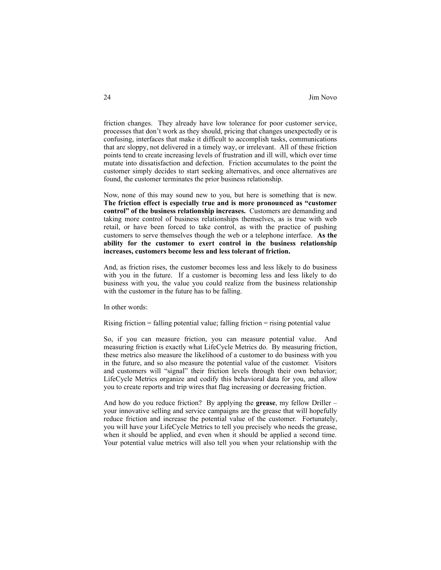friction changes. They already have low tolerance for poor customer service, processes that don't work as they should, pricing that changes unexpectedly or is confusing, interfaces that make it difficult to accomplish tasks, communications that are sloppy, not delivered in a timely way, or irrelevant. All of these friction points tend to create increasing levels of frustration and ill will, which over time mutate into dissatisfaction and defection. Friction accumulates to the point the customer simply decides to start seeking alternatives, and once alternatives are found, the customer terminates the prior business relationship.

Now, none of this may sound new to you, but here is something that is new. **The friction effect is especially true and is more pronounced as "customer control" of the business relationship increases.** Customers are demanding and taking more control of business relationships themselves, as is true with web retail, or have been forced to take control, as with the practice of pushing customers to serve themselves though the web or a telephone interface. **As the ability for the customer to exert control in the business relationship increases, customers become less and less tolerant of friction.**

And, as friction rises, the customer becomes less and less likely to do business with you in the future. If a customer is becoming less and less likely to do business with you, the value you could realize from the business relationship with the customer in the future has to be falling.

In other words:

 $Rising friction = falling potential value; falling friction = rising potential value$ 

So, if you can measure friction, you can measure potential value. And measuring friction is exactly what LifeCycle Metrics do. By measuring friction, these metrics also measure the likelihood of a customer to do business with you in the future, and so also measure the potential value of the customer. Visitors and customers will "signal" their friction levels through their own behavior; LifeCycle Metrics organize and codify this behavioral data for you, and allow you to create reports and trip wires that flag increasing or decreasing friction.

And how do you reduce friction? By applying the **grease**, my fellow Driller – your innovative selling and service campaigns are the grease that will hopefully reduce friction and increase the potential value of the customer. Fortunately, you will have your LifeCycle Metrics to tell you precisely who needs the grease, when it should be applied, and even when it should be applied a second time. Your potential value metrics will also tell you when your relationship with the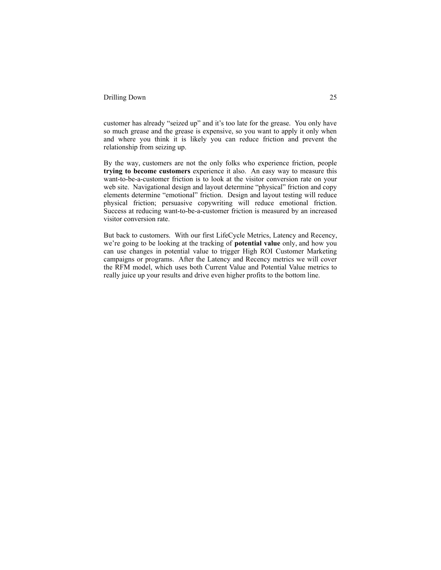customer has already "seized up" and it's too late for the grease. You only have so much grease and the grease is expensive, so you want to apply it only when and where you think it is likely you can reduce friction and prevent the relationship from seizing up.

By the way, customers are not the only folks who experience friction, people **trying to become customers** experience it also. An easy way to measure this want-to-be-a-customer friction is to look at the visitor conversion rate on your web site. Navigational design and layout determine "physical" friction and copy elements determine "emotional" friction. Design and layout testing will reduce physical friction; persuasive copywriting will reduce emotional friction. Success at reducing want-to-be-a-customer friction is measured by an increased visitor conversion rate.

But back to customers. With our first LifeCycle Metrics, Latency and Recency, we're going to be looking at the tracking of **potential value** only, and how you can use changes in potential value to trigger High ROI Customer Marketing campaigns or programs. After the Latency and Recency metrics we will cover the RFM model, which uses both Current Value and Potential Value metrics to really juice up your results and drive even higher profits to the bottom line.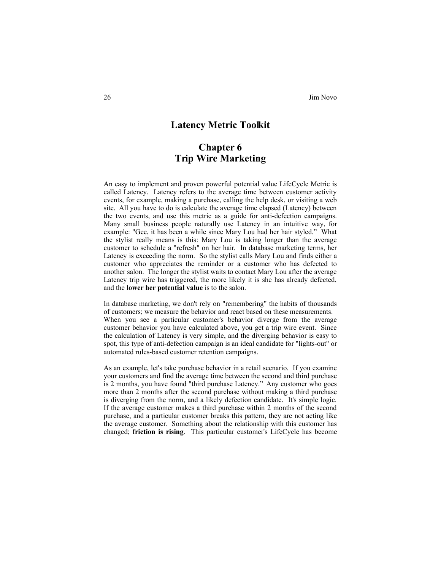# **Latency Metric Toolkit**

# **Chapter 6 Trip Wire Marketing**

An easy to implement and proven powerful potential value LifeCycle Metric is called Latency. Latency refers to the average time between customer activity events, for example, making a purchase, calling the help desk, or visiting a web site. All you have to do is calculate the average time elapsed (Latency) between the two events, and use this metric as a guide for anti-defection campaigns. Many small business people naturally use Latency in an intuitive way, for example: "Gee, it has been a while since Mary Lou had her hair styled." What the stylist really means is this: Mary Lou is taking longer than the average customer to schedule a "refresh" on her hair. In database marketing terms, her Latency is exceeding the norm. So the stylist calls Mary Lou and finds either a customer who appreciates the reminder or a customer who has defected to another salon. The longer the stylist waits to contact Mary Lou after the average Latency trip wire has triggered, the more likely it is she has already defected, and the **lower her potential value** is to the salon.

In database marketing, we don't rely on "remembering" the habits of thousands of customers; we measure the behavior and react based on these measurements. When you see a particular customer's behavior diverge from the average customer behavior you have calculated above, you get a trip wire event. Since the calculation of Latency is very simple, and the diverging behavior is easy to spot, this type of anti-defection campaign is an ideal candidate for "lights-out" or automated rules-based customer retention campaigns.

As an example, let's take purchase behavior in a retail scenario. If you examine your customers and find the average time between the second and third purchase is 2 months, you have found "third purchase Latency." Any customer who goes more than 2 months after the second purchase without making a third purchase is diverging from the norm, and a likely defection candidate. It's simple logic. If the average customer makes a third purchase within 2 months of the second purchase, and a particular customer breaks this pattern, they are not acting like the average customer. Something about the relationship with this customer has changed; **friction is rising**. This particular customer's LifeCycle has become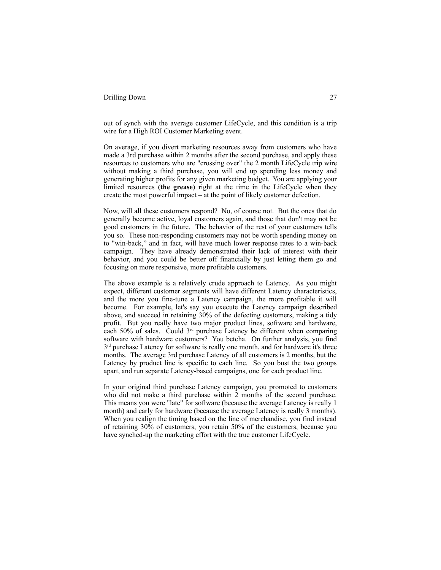out of synch with the average customer LifeCycle, and this condition is a trip wire for a High ROI Customer Marketing event.

On average, if you divert marketing resources away from customers who have made a 3rd purchase within 2 months after the second purchase, and apply these resources to customers who are "crossing over" the 2 month LifeCycle trip wire without making a third purchase, you will end up spending less money and generating higher profits for any given marketing budget. You are applying your limited resources **(the grease)** right at the time in the LifeCycle when they create the most powerful impact – at the point of likely customer defection.

Now, will all these customers respond? No, of course not. But the ones that do generally become active, loyal customers again, and those that don't may not be good customers in the future. The behavior of the rest of your customers tells you so. These non-responding customers may not be worth spending money on to "win-back," and in fact, will have much lower response rates to a win-back campaign. They have already demonstrated their lack of interest with their behavior, and you could be better off financially by just letting them go and focusing on more responsive, more profitable customers.

The above example is a relatively crude approach to Latency. As you might expect, different customer segments will have different Latency characteristics, and the more you fine-tune a Latency campaign, the more profitable it will become. For example, let's say you execute the Latency campaign described above, and succeed in retaining 30% of the defecting customers, making a tidy profit. But you really have two major product lines, software and hardware, each 50% of sales. Could 3<sup>rd</sup> purchase Latency be different when comparing software with hardware customers? You betcha. On further analysis, you find 3<sup>rd</sup> purchase Latency for software is really one month, and for hardware it's three months. The average 3rd purchase Latency of all customers is 2 months, but the Latency by product line is specific to each line. So you bust the two groups apart, and run separate Latency-based campaigns, one for each product line.

In your original third purchase Latency campaign, you promoted to customers who did not make a third purchase within 2 months of the second purchase. This means you were "late" for software (because the average Latency is really 1 month) and early for hardware (because the average Latency is really 3 months). When you realign the timing based on the line of merchandise, you find instead of retaining 30% of customers, you retain 50% of the customers, because you have synched-up the marketing effort with the true customer LifeCycle.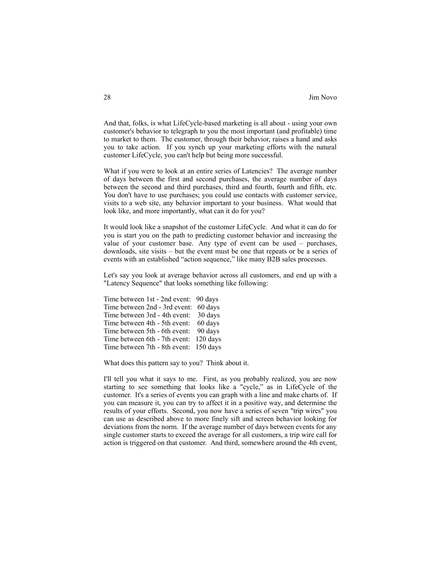And that, folks, is what LifeCycle-based marketing is all about - using your own customer's behavior to telegraph to you the most important (and profitable) time to market to them. The customer, through their behavior, raises a hand and asks you to take action. If you synch up your marketing efforts with the natural customer LifeCycle, you can't help but being more successful.

What if you were to look at an entire series of Latencies? The average number of days between the first and second purchases, the average number of days between the second and third purchases, third and fourth, fourth and fifth, etc. You don't have to use purchases; you could use contacts with customer service, visits to a web site, any behavior important to your business. What would that look like, and more importantly, what can it do for you?

It would look like a snapshot of the customer LifeCycle. And what it can do for you is start you on the path to predicting customer behavior and increasing the value of your customer base. Any type of event can be used – purchases, downloads, site visits – but the event must be one that repeats or be a series of events with an established "action sequence," like many B2B sales processes.

Let's say you look at average behavior across all customers, and end up with a "Latency Sequence" that looks something like following:

Time between 1st - 2nd event: 90 days Time between 2nd - 3rd event: 60 days Time between 3rd - 4th event: 30 days Time between 4th - 5th event: 60 days Time between 5th - 6th event: 90 days Time between 6th - 7th event: 120 days Time between 7th - 8th event: 150 days

What does this pattern say to you? Think about it.

I'll tell you what it says to me. First, as you probably realized, you are now starting to see something that looks like a "cycle," as in LifeCycle of the customer. It's a series of events you can graph with a line and make charts of. If you can measure it, you can try to affect it in a positive way, and determine the results of your efforts. Second, you now have a series of seven "trip wires" you can use as described above to more finely sift and screen behavior looking for deviations from the norm. If the average number of days between events for any single customer starts to exceed the average for all customers, a trip wire call for action is triggered on that customer. And third, somewhere around the 4th event,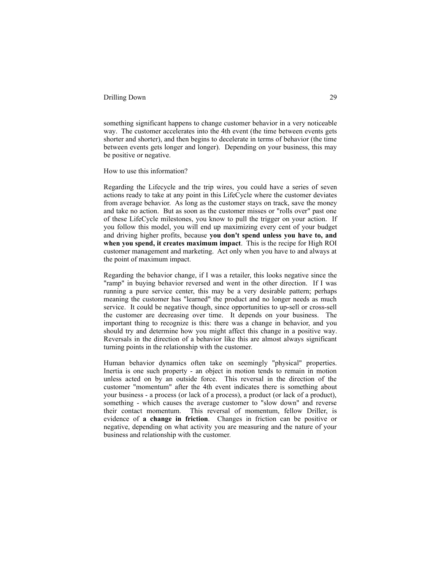something significant happens to change customer behavior in a very noticeable way. The customer accelerates into the 4th event (the time between events gets shorter and shorter), and then begins to decelerate in terms of behavior (the time between events gets longer and longer). Depending on your business, this may be positive or negative.

How to use this information?

Regarding the Lifecycle and the trip wires, you could have a series of seven actions ready to take at any point in this LifeCycle where the customer deviates from average behavior. As long as the customer stays on track, save the money and take no action. But as soon as the customer misses or "rolls over" past one of these LifeCycle milestones, you know to pull the trigger on your action. If you follow this model, you will end up maximizing every cent of your budget and driving higher profits, because **you don't spend unless you have to, and when you spend, it creates maximum impact**. This is the recipe for High ROI customer management and marketing. Act only when you have to and always at the point of maximum impact.

Regarding the behavior change, if I was a retailer, this looks negative since the "ramp" in buying behavior reversed and went in the other direction. If I was running a pure service center, this may be a very desirable pattern; perhaps meaning the customer has "learned" the product and no longer needs as much service. It could be negative though, since opportunities to up-sell or cross-sell the customer are decreasing over time. It depends on your business. The important thing to recognize is this: there was a change in behavior, and you should try and determine how you might affect this change in a positive way. Reversals in the direction of a behavior like this are almost always significant turning points in the relationship with the customer.

Human behavior dynamics often take on seemingly "physical" properties. Inertia is one such property - an object in motion tends to remain in motion unless acted on by an outside force. This reversal in the direction of the customer "momentum" after the 4th event indicates there is something about your business - a process (or lack of a process), a product (or lack of a product), something - which causes the average customer to "slow down" and reverse their contact momentum. This reversal of momentum, fellow Driller, is evidence of **a change in friction**. Changes in friction can be positive or negative, depending on what activity you are measuring and the nature of your business and relationship with the customer.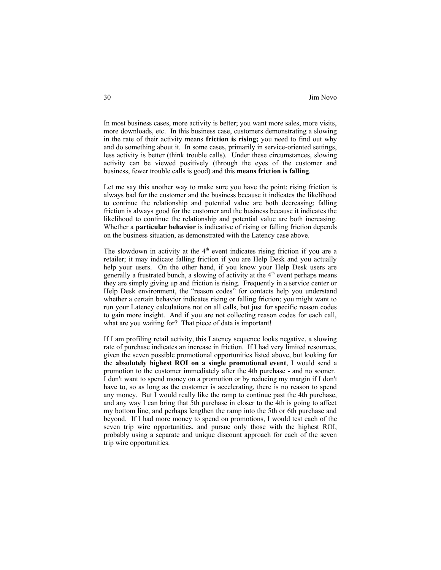In most business cases, more activity is better; you want more sales, more visits, more downloads, etc. In this business case, customers demonstrating a slowing in the rate of their activity means **friction is rising;** you need to find out why and do something about it. In some cases, primarily in service-oriented settings, less activity is better (think trouble calls). Under these circumstances, slowing activity can be viewed positively (through the eyes of the customer and business, fewer trouble calls is good) and this **means friction is falling**.

Let me say this another way to make sure you have the point: rising friction is always bad for the customer and the business because it indicates the likelihood to continue the relationship and potential value are both decreasing; falling friction is always good for the customer and the business because it indicates the likelihood to continue the relationship and potential value are both increasing. Whether a **particular behavior** is indicative of rising or falling friction depends on the business situation, as demonstrated with the Latency case above.

The slowdown in activity at the  $4<sup>th</sup>$  event indicates rising friction if you are a retailer; it may indicate falling friction if you are Help Desk and you actually help your users. On the other hand, if you know your Help Desk users are generally a frustrated bunch, a slowing of activity at the 4<sup>th</sup> event perhaps means they are simply giving up and friction is rising. Frequently in a service center or Help Desk environment, the "reason codes" for contacts help you understand whether a certain behavior indicates rising or falling friction; you might want to run your Latency calculations not on all calls, but just for specific reason codes to gain more insight. And if you are not collecting reason codes for each call, what are you waiting for? That piece of data is important!

If I am profiling retail activity, this Latency sequence looks negative, a slowing rate of purchase indicates an increase in friction. If I had very limited resources, given the seven possible promotional opportunities listed above, but looking for the **absolutely highest ROI on a single promotional event**, I would send a promotion to the customer immediately after the 4th purchase - and no sooner. I don't want to spend money on a promotion or by reducing my margin if I don't have to, so as long as the customer is accelerating, there is no reason to spend any money. But I would really like the ramp to continue past the 4th purchase, and any way I can bring that 5th purchase in closer to the 4th is going to affect my bottom line, and perhaps lengthen the ramp into the 5th or 6th purchase and beyond. If I had more money to spend on promotions, I would test each of the seven trip wire opportunities, and pursue only those with the highest ROI, probably using a separate and unique discount approach for each of the seven trip wire opportunities.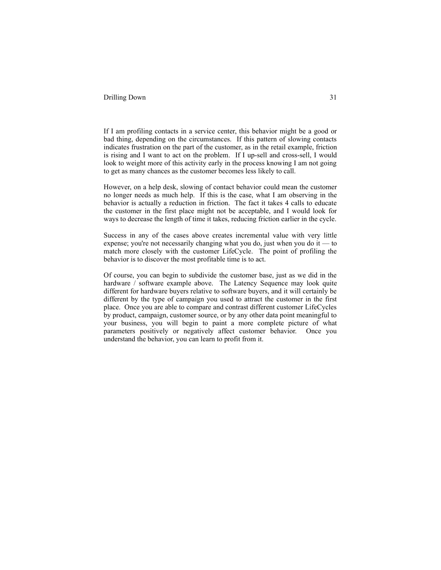If I am profiling contacts in a service center, this behavior might be a good or bad thing, depending on the circumstances. If this pattern of slowing contacts indicates frustration on the part of the customer, as in the retail example, friction is rising and I want to act on the problem. If I up-sell and cross-sell, I would look to weight more of this activity early in the process knowing I am not going to get as many chances as the customer becomes less likely to call.

However, on a help desk, slowing of contact behavior could mean the customer no longer needs as much help. If this is the case, what I am observing in the behavior is actually a reduction in friction. The fact it takes 4 calls to educate the customer in the first place might not be acceptable, and I would look for ways to decrease the length of time it takes, reducing friction earlier in the cycle.

Success in any of the cases above creates incremental value with very little expense; you're not necessarily changing what you do, just when you do it — to match more closely with the customer LifeCycle. The point of profiling the behavior is to discover the most profitable time is to act.

Of course, you can begin to subdivide the customer base, just as we did in the hardware / software example above. The Latency Sequence may look quite different for hardware buyers relative to software buyers, and it will certainly be different by the type of campaign you used to attract the customer in the first place. Once you are able to compare and contrast different customer LifeCycles by product, campaign, customer source, or by any other data point meaningful to your business, you will begin to paint a more complete picture of what parameters positively or negatively affect customer behavior. Once you understand the behavior, you can learn to profit from it.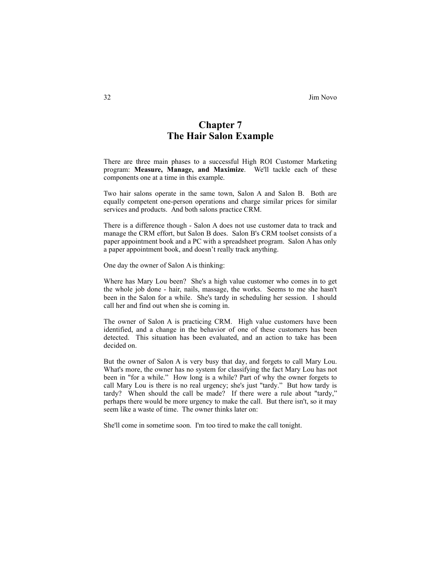# **Chapter 7 The Hair Salon Example**

There are three main phases to a successful High ROI Customer Marketing program: **Measure, Manage, and Maximize**. We'll tackle each of these components one at a time in this example.

Two hair salons operate in the same town, Salon A and Salon B. Both are equally competent one-person operations and charge similar prices for similar services and products. And both salons practice CRM.

There is a difference though - Salon A does not use customer data to track and manage the CRM effort, but Salon B does. Salon B's CRM toolset consists of a paper appointment book and a PC with a spreadsheet program. Salon A has only a paper appointment book, and doesn't really track anything.

One day the owner of Salon A is thinking:

Where has Mary Lou been? She's a high value customer who comes in to get the whole job done - hair, nails, massage, the works. Seems to me she hasn't been in the Salon for a while. She's tardy in scheduling her session. I should call her and find out when she is coming in.

The owner of Salon A is practicing CRM. High value customers have been identified, and a change in the behavior of one of these customers has been detected. This situation has been evaluated, and an action to take has been decided on.

But the owner of Salon A is very busy that day, and forgets to call Mary Lou. What's more, the owner has no system for classifying the fact Mary Lou has not been in "for a while." How long is a while? Part of why the owner forgets to call Mary Lou is there is no real urgency; she's just "tardy." But how tardy is tardy? When should the call be made? If there were a rule about "tardy," perhaps there would be more urgency to make the call. But there isn't, so it may seem like a waste of time. The owner thinks later on:

She'll come in sometime soon. I'm too tired to make the call tonight.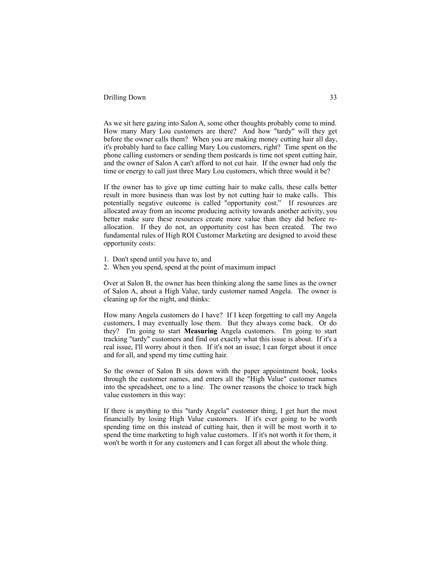As we sit here gazing into Salon A, some other thoughts probably come to mind. How many Mary Lou customers are there? And how "tardy" will they get before the owner calls them? When you are making money cutting hair all day, it's probably hard to face calling Mary Lou customers, right? Time spent on the phone calling customers or sending them postcards is time not spent cutting hair, and the owner of Salon A can't afford to not cut hair. If the owner had only the time or energy to call just three Mary Lou customers, which three would it be?

If the owner has to give up time cutting hair to make calls, these calls better result in more business than was lost by not cutting hair to make calls. This potentially negative outcome is called "opportunity cost." If resources are allocated away from an income producing activity towards another activity, you better make sure these resources create more value than they did before reallocation. If they do not, an opportunity cost has been created. The two fundamental rules of High ROI Customer Marketing are designed to avoid these opportunity costs:

- 1. Don't spend until you have to, and
- 2. When you spend, spend at the point of maximum impact

Over at Salon B, the owner has been thinking along the same lines as the owner of Salon A, about a High Value, tardy customer named Angela. The owner is cleaning up for the night, and thinks:

How many Angela customers do I have? If I keep forgetting to call my Angela customers, I may eventually lose them. But they always come back. Or do they? I'm going to start **Measuring** Angela customers. I'm going to start tracking "tardy" customers and find out exactly what this issue is about. If it's a real issue, I'll worry about it then. If it's not an issue, I can forget about it once and for all, and spend my time cutting hair.

So the owner of Salon B sits down with the paper appointment book, looks through the customer names, and enters all the "High Value" customer names into the spreadsheet, one to a line. The owner reasons the choice to track high value customers in this way:

If there is anything to this "tardy Angela" customer thing, I get hurt the most financially by losing High Value customers. If it's ever going to be worth spending time on this instead of cutting hair, then it will be most worth it to spend the time marketing to high value customers. If it's not worth it for them, it won't be worth it for any customers and I can forget all about the whole thing.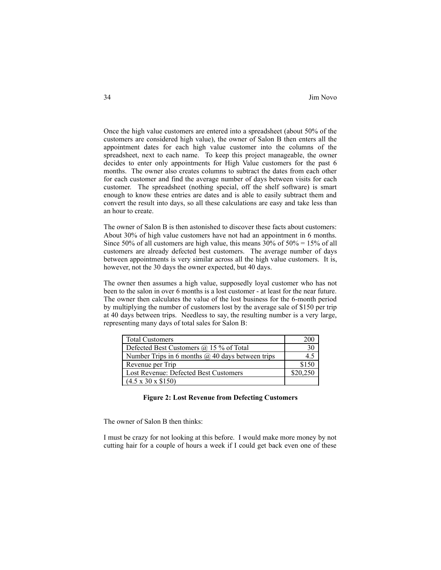Once the high value customers are entered into a spreadsheet (about 50% of the customers are considered high value), the owner of Salon B then enters all the appointment dates for each high value customer into the columns of the spreadsheet, next to each name. To keep this project manageable, the owner decides to enter only appointments for High Value customers for the past 6 months. The owner also creates columns to subtract the dates from each other for each customer and find the average number of days between visits for each customer. The spreadsheet (nothing special, off the shelf software) is smart enough to know these entries are dates and is able to easily subtract them and convert the result into days, so all these calculations are easy and take less than an hour to create.

The owner of Salon B is then astonished to discover these facts about customers: About 30% of high value customers have not had an appointment in 6 months. Since 50% of all customers are high value, this means  $30\%$  of  $50\% = 15\%$  of all customers are already defected best customers. The average number of days between appointments is very similar across all the high value customers. It is, however, not the 30 days the owner expected, but 40 days.

The owner then assumes a high value, supposedly loyal customer who has not been to the salon in over 6 months is a lost customer - at least for the near future. The owner then calculates the value of the lost business for the 6-month period by multiplying the number of customers lost by the average sale of \$150 per trip at 40 days between trips. Needless to say, the resulting number is a very large, representing many days of total sales for Salon B:

| <b>Total Customers</b>                                  |          |
|---------------------------------------------------------|----------|
| Defected Best Customers $(a)$ 15 % of Total             | 30       |
| Number Trips in 6 months $\omega$ 40 days between trips |          |
| Revenue per Trip                                        | \$150    |
| Lost Revenue: Defected Best Customers                   | \$20,250 |
| $(4.5 \times 30 \times $150)$                           |          |

#### **Figure 2: Lost Revenue from Defecting Customers**

The owner of Salon B then thinks:

I must be crazy for not looking at this before. I would make more money by not cutting hair for a couple of hours a week if I could get back even one of these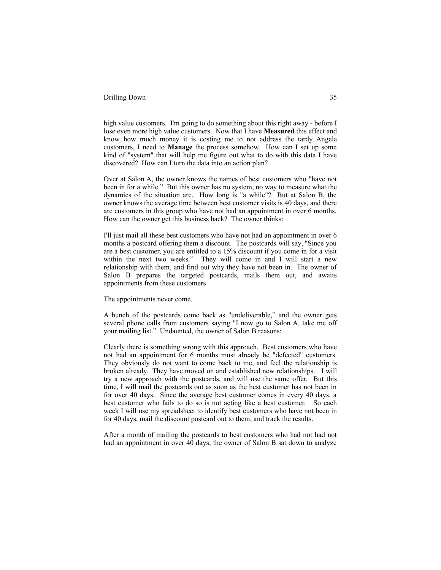high value customers. I'm going to do something about this right away - before I lose even more high value customers. Now that I have **Measured** this effect and know how much money it is costing me to not address the tardy Angela customers, I need to **Manage** the process somehow. How can I set up some kind of "system" that will help me figure out what to do with this data I have discovered? How can I turn the data into an action plan?

Over at Salon A, the owner knows the names of best customers who "have not been in for a while." But this owner has no system, no way to measure what the dynamics of the situation are. How long is "a while"? But at Salon B, the owner knows the average time between best customer visits is 40 days, and there are customers in this group who have not had an appointment in over 6 months. How can the owner get this business back? The owner thinks:

I'll just mail all these best customers who have not had an appointment in over 6 months a postcard offering them a discount. The postcards will say, "Since you are a best customer, you are entitled to a 15% discount if you come in for a visit within the next two weeks." They will come in and I will start a new relationship with them, and find out why they have not been in. The owner of Salon B prepares the targeted postcards, mails them out, and awaits appointments from these customers

The appointments never come.

A bunch of the postcards come back as "undeliverable," and the owner gets several phone calls from customers saying "I now go to Salon A, take me off your mailing list." Undaunted, the owner of Salon B reasons:

Clearly there is something wrong with this approach. Best customers who have not had an appointment for 6 months must already be "defected" customers. They obviously do not want to come back to me, and feel the relationship is broken already. They have moved on and established new relationships. I will try a new approach with the postcards, and will use the same offer. But this time, I will mail the postcards out as soon as the best customer has not been in for over 40 days. Since the average best customer comes in every 40 days, a best customer who fails to do so is not acting like a best customer. So each week I will use my spreadsheet to identify best customers who have not been in for 40 days, mail the discount postcard out to them, and track the results.

After a month of mailing the postcards to best customers who had not had not had an appointment in over 40 days, the owner of Salon B sat down to analyze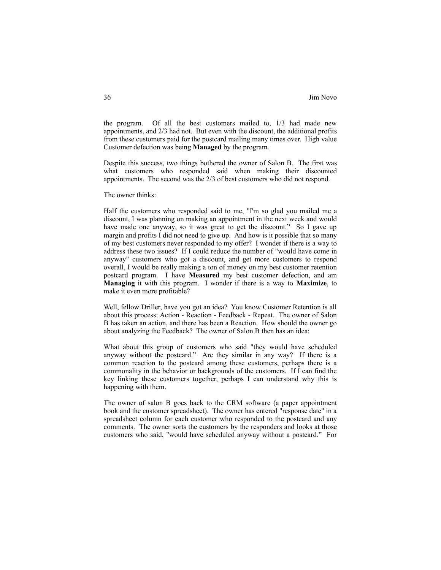the program. Of all the best customers mailed to, 1/3 had made new appointments, and 2/3 had not. But even with the discount, the additional profits from these customers paid for the postcard mailing many times over. High value Customer defection was being **Managed** by the program.

Despite this success, two things bothered the owner of Salon B. The first was what customers who responded said when making their discounted appointments. The second was the 2/3 of best customers who did not respond.

The owner thinks:

Half the customers who responded said to me, "I'm so glad you mailed me a discount, I was planning on making an appointment in the next week and would have made one anyway, so it was great to get the discount." So I gave up margin and profits I did not need to give up. And how is it possible that so many of my best customers never responded to my offer? I wonder if there is a way to address these two issues? If I could reduce the number of "would have come in anyway" customers who got a discount, and get more customers to respond overall, I would be really making a ton of money on my best customer retention postcard program. I have **Measured** my best customer defection, and am **Managing** it with this program. I wonder if there is a way to **Maximize**, to make it even more profitable?

Well, fellow Driller, have you got an idea? You know Customer Retention is all about this process: Action - Reaction - Feedback - Repeat. The owner of Salon B has taken an action, and there has been a Reaction. How should the owner go about analyzing the Feedback? The owner of Salon B then has an idea:

What about this group of customers who said "they would have scheduled anyway without the postcard." Are they similar in any way? If there is a common reaction to the postcard among these customers, perhaps there is a commonality in the behavior or backgrounds of the customers. If I can find the key linking these customers together, perhaps I can understand why this is happening with them.

The owner of salon B goes back to the CRM software (a paper appointment book and the customer spreadsheet). The owner has entered "response date" in a spreadsheet column for each customer who responded to the postcard and any comments. The owner sorts the customers by the responders and looks at those customers who said, "would have scheduled anyway without a postcard." For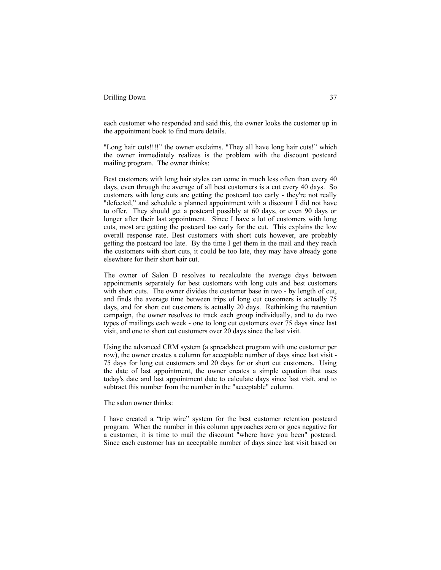each customer who responded and said this, the owner looks the customer up in the appointment book to find more details.

"Long hair cuts!!!!" the owner exclaims. "They all have long hair cuts!" which the owner immediately realizes is the problem with the discount postcard mailing program. The owner thinks:

Best customers with long hair styles can come in much less often than every 40 days, even through the average of all best customers is a cut every 40 days. So customers with long cuts are getting the postcard too early - they're not really "defected," and schedule a planned appointment with a discount I did not have to offer. They should get a postcard possibly at 60 days, or even 90 days or longer after their last appointment. Since I have a lot of customers with long cuts, most are getting the postcard too early for the cut. This explains the low overall response rate. Best customers with short cuts however, are probably getting the postcard too late. By the time I get them in the mail and they reach the customers with short cuts, it could be too late, they may have already gone elsewhere for their short hair cut.

The owner of Salon B resolves to recalculate the average days between appointments separately for best customers with long cuts and best customers with short cuts. The owner divides the customer base in two - by length of cut, and finds the average time between trips of long cut customers is actually 75 days, and for short cut customers is actually 20 days. Rethinking the retention campaign, the owner resolves to track each group individually, and to do two types of mailings each week - one to long cut customers over 75 days since last visit, and one to short cut customers over 20 days since the last visit.

Using the advanced CRM system (a spreadsheet program with one customer per row), the owner creates a column for acceptable number of days since last visit - 75 days for long cut customers and 20 days for or short cut customers. Using the date of last appointment, the owner creates a simple equation that uses today's date and last appointment date to calculate days since last visit, and to subtract this number from the number in the "acceptable" column.

The salon owner thinks:

I have created a "trip wire" system for the best customer retention postcard program. When the number in this column approaches zero or goes negative for a customer, it is time to mail the discount "where have you been" postcard. Since each customer has an acceptable number of days since last visit based on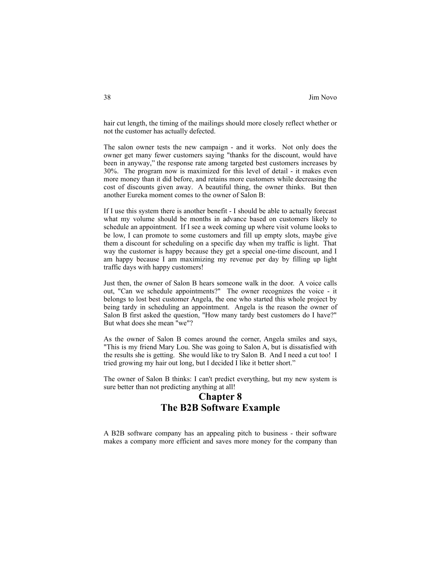hair cut length, the timing of the mailings should more closely reflect whether or not the customer has actually defected.

The salon owner tests the new campaign - and it works. Not only does the owner get many fewer customers saying "thanks for the discount, would have been in anyway," the response rate among targeted best customers increases by 30%. The program now is maximized for this level of detail - it makes even more money than it did before, and retains more customers while decreasing the cost of discounts given away. A beautiful thing, the owner thinks. But then another Eureka moment comes to the owner of Salon B:

If I use this system there is another benefit - I should be able to actually forecast what my volume should be months in advance based on customers likely to schedule an appointment. If I see a week coming up where visit volume looks to be low, I can promote to some customers and fill up empty slots, maybe give them a discount for scheduling on a specific day when my traffic is light. That way the customer is happy because they get a special one-time discount, and I am happy because I am maximizing my revenue per day by filling up light traffic days with happy customers!

Just then, the owner of Salon B hears someone walk in the door. A voice calls out, "Can we schedule appointments?" The owner recognizes the voice - it belongs to lost best customer Angela, the one who started this whole project by being tardy in scheduling an appointment. Angela is the reason the owner of Salon B first asked the question, "How many tardy best customers do I have?" But what does she mean "we"?

As the owner of Salon B comes around the corner, Angela smiles and says, "This is my friend Mary Lou. She was going to Salon A, but is dissatisfied with the results she is getting. She would like to try Salon B. And I need a cut too! I tried growing my hair out long, but I decided I like it better short."

The owner of Salon B thinks: I can't predict everything, but my new system is sure better than not predicting anything at all!

# **Chapter 8 The B2B Software Example**

A B2B software company has an appealing pitch to business - their software makes a company more efficient and saves more money for the company than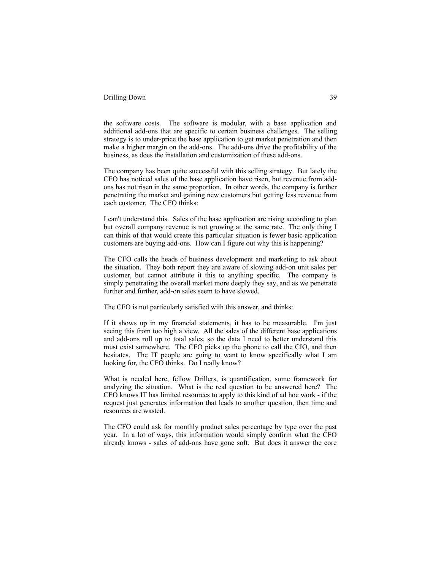the software costs. The software is modular, with a base application and additional add-ons that are specific to certain business challenges. The selling strategy is to under-price the base application to get market penetration and then make a higher margin on the add-ons. The add-ons drive the profitability of the business, as does the installation and customization of these add-ons.

The company has been quite successful with this selling strategy. But lately the CFO has noticed sales of the base application have risen, but revenue from addons has not risen in the same proportion. In other words, the company is further penetrating the market and gaining new customers but getting less revenue from each customer. The CFO thinks:

I can't understand this. Sales of the base application are rising according to plan but overall company revenue is not growing at the same rate. The only thing I can think of that would create this particular situation is fewer basic application customers are buying add-ons. How can I figure out why this is happening?

The CFO calls the heads of business development and marketing to ask about the situation. They both report they are aware of slowing add-on unit sales per customer, but cannot attribute it this to anything specific. The company is simply penetrating the overall market more deeply they say, and as we penetrate further and further, add-on sales seem to have slowed.

The CFO is not particularly satisfied with this answer, and thinks:

If it shows up in my financial statements, it has to be measurable. I'm just seeing this from too high a view. All the sales of the different base applications and add-ons roll up to total sales, so the data I need to better understand this must exist somewhere. The CFO picks up the phone to call the CIO, and then hesitates. The IT people are going to want to know specifically what I am looking for, the CFO thinks. Do I really know?

What is needed here, fellow Drillers, is quantification, some framework for analyzing the situation. What is the real question to be answered here? The CFO knows IT has limited resources to apply to this kind of ad hoc work - if the request just generates information that leads to another question, then time and resources are wasted.

The CFO could ask for monthly product sales percentage by type over the past year. In a lot of ways, this information would simply confirm what the CFO already knows - sales of add-ons have gone soft. But does it answer the core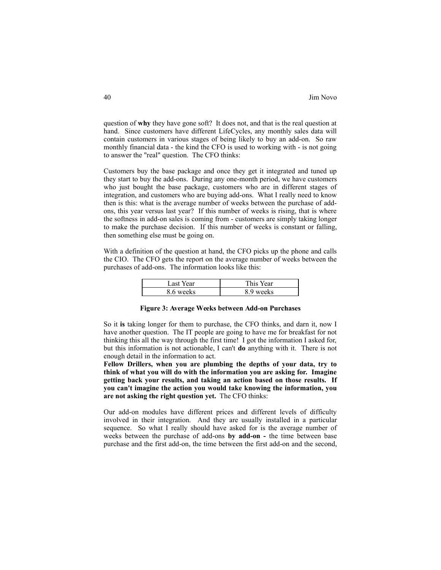question of **why** they have gone soft? It does not, and that is the real question at hand. Since customers have different LifeCycles, any monthly sales data will contain customers in various stages of being likely to buy an add-on. So raw monthly financial data - the kind the CFO is used to working with - is not going to answer the "real" question. The CFO thinks:

Customers buy the base package and once they get it integrated and tuned up they start to buy the add-ons. During any one-month period, we have customers who just bought the base package, customers who are in different stages of integration, and customers who are buying add-ons. What I really need to know then is this: what is the average number of weeks between the purchase of addons, this year versus last year? If this number of weeks is rising, that is where the softness in add-on sales is coming from - customers are simply taking longer to make the purchase decision. If this number of weeks is constant or falling, then something else must be going on.

With a definition of the question at hand, the CFO picks up the phone and calls the CIO. The CFO gets the report on the average number of weeks between the purchases of add-ons. The information looks like this:

| $\text{Last}$ $\vee$<br>Year | This Year |
|------------------------------|-----------|
| 8.6 weeks                    | 8.9 weeks |

| Figure 3: Average Weeks between Add-on Purchases |  |  |  |
|--------------------------------------------------|--|--|--|
|                                                  |  |  |  |

So it **is** taking longer for them to purchase, the CFO thinks, and darn it, now I have another question. The IT people are going to have me for breakfast for not thinking this all the way through the first time! I got the information I asked for, but this information is not actionable, I can't **do** anything with it. There is not enough detail in the information to act.

**Fellow Drillers, when you are plumbing the depths of your data, try to think of what you will do with the information you are asking for. Imagine getting back your results, and taking an action based on those results. If you can't imagine the action you would take knowing the information, you are not asking the right question yet.** The CFO thinks:

Our add-on modules have different prices and different levels of difficulty involved in their integration. And they are usually installed in a particular sequence. So what I really should have asked for is the average number of weeks between the purchase of add-ons **by add-on -** the time between base purchase and the first add-on, the time between the first add-on and the second,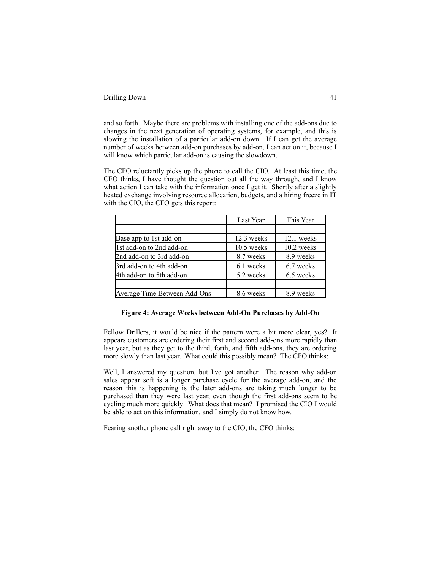and so forth. Maybe there are problems with installing one of the add-ons due to changes in the next generation of operating systems, for example, and this is slowing the installation of a particular add-on down. If I can get the average number of weeks between add-on purchases by add-on, I can act on it, because I will know which particular add-on is causing the slowdown.

The CFO reluctantly picks up the phone to call the CIO. At least this time, the CFO thinks, I have thought the question out all the way through, and I know what action I can take with the information once I get it. Shortly after a slightly heated exchange involving resource allocation, budgets, and a hiring freeze in IT with the CIO, the CFO gets this report:

|                              | Last Year    | This Year  |
|------------------------------|--------------|------------|
|                              |              |            |
| Base app to 1st add-on       | 12.3 weeks   | 12.1 weeks |
| 1st add-on to 2nd add-on     | $10.5$ weeks | 10.2 weeks |
| 2nd add-on to 3rd add-on     | 8.7 weeks    | 8.9 weeks  |
| 3rd add-on to 4th add-on     | 6.1 weeks    | 6.7 weeks  |
| 4th add-on to 5th add-on     | 5.2 weeks    | 6.5 weeks  |
|                              |              |            |
| Average Time Between Add-Ons | 8.6 weeks    | 8.9 weeks  |

#### **Figure 4: Average Weeks between Add-On Purchases by Add-On**

Fellow Drillers, it would be nice if the pattern were a bit more clear, yes? It appears customers are ordering their first and second add-ons more rapidly than last year, but as they get to the third, forth, and fifth add-ons, they are ordering more slowly than last year. What could this possibly mean? The CFO thinks:

Well, I answered my question, but I've got another. The reason why add-on sales appear soft is a longer purchase cycle for the average add-on, and the reason this is happening is the later add-ons are taking much longer to be purchased than they were last year, even though the first add-ons seem to be cycling much more quickly. What does that mean? I promised the CIO I would be able to act on this information, and I simply do not know how.

Fearing another phone call right away to the CIO, the CFO thinks: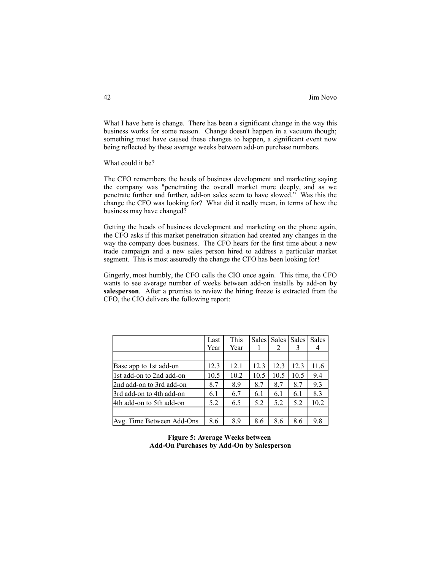What I have here is change. There has been a significant change in the way this business works for some reason. Change doesn't happen in a vacuum though; something must have caused these changes to happen, a significant event now being reflected by these average weeks between add-on purchase numbers.

What could it be?

The CFO remembers the heads of business development and marketing saying the company was "penetrating the overall market more deeply, and as we penetrate further and further, add-on sales seem to have slowed." Was this the change the CFO was looking for? What did it really mean, in terms of how the business may have changed?

Getting the heads of business development and marketing on the phone again, the CFO asks if this market penetration situation had created any changes in the way the company does business. The CFO hears for the first time about a new trade campaign and a new sales person hired to address a particular market segment. This is most assuredly the change the CFO has been looking for!

Gingerly, most humbly, the CFO calls the CIO once again. This time, the CFO wants to see average number of weeks between add-on installs by add-on **by salesperson**. After a promise to review the hiring freeze is extracted from the CFO, the CIO delivers the following report:

|                           | Last | This | <b>Sales</b> | Sales | <b>Sales</b> | <b>Sales</b> |
|---------------------------|------|------|--------------|-------|--------------|--------------|
|                           | Year | Year |              | 2     | 3            | 4            |
|                           |      |      |              |       |              |              |
| Base app to 1st add-on    | 12.3 | 12.1 | 12.3         | 12.3  | 12.3         | 11.6         |
| 1st add-on to 2nd add-on  | 10.5 | 10.2 | 10.5         | 10.5  | 10.5         | 9.4          |
| 2nd add-on to 3rd add-on  | 8.7  | 8.9  | 8.7          | 8.7   | 8.7          | 9.3          |
| 3rd add-on to 4th add-on  | 6.1  | 6.7  | 6.1          | 6.1   | 6.1          | 8.3          |
| 4th add-on to 5th add-on  | 5.2  | 6.5  | 5.2          | 5.2   | 5.2          | 10.2         |
|                           |      |      |              |       |              |              |
| Avg. Time Between Add-Ons | 8.6  | 8.9  | 8.6          | 8.6   | 8.6          | 9.8          |

**Figure 5: Average Weeks between Add-On Purchases by Add-On by Salesperson**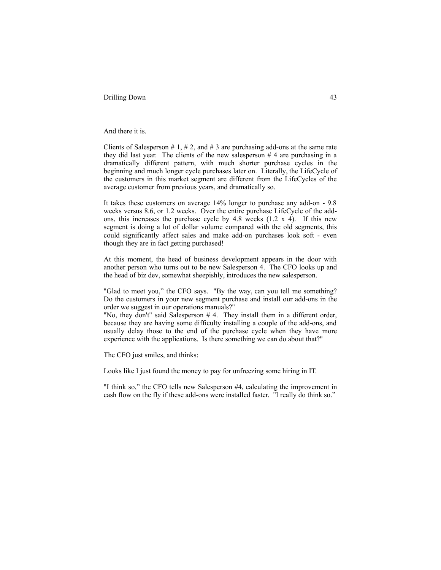# And there it is.

Clients of Salesperson  $# 1, # 2, and # 3 are purchasing add-ons at the same rate$ they did last year. The clients of the new salesperson  $# 4$  are purchasing in a dramatically different pattern, with much shorter purchase cycles in the beginning and much longer cycle purchases later on. Literally, the LifeCycle of the customers in this market segment are different from the LifeCycles of the average customer from previous years, and dramatically so.

It takes these customers on average 14% longer to purchase any add-on - 9.8 weeks versus 8.6, or 1.2 weeks. Over the entire purchase LifeCycle of the addons, this increases the purchase cycle by  $4.8$  weeks  $(1.2 \times 4)$ . If this new segment is doing a lot of dollar volume compared with the old segments, this could significantly affect sales and make add-on purchases look soft - even though they are in fact getting purchased!

At this moment, the head of business development appears in the door with another person who turns out to be new Salesperson 4. The CFO looks up and the head of biz dev, somewhat sheepishly, introduces the new salesperson.

"Glad to meet you," the CFO says. "By the way, can you tell me something? Do the customers in your new segment purchase and install our add-ons in the order we suggest in our operations manuals?"

"No, they don't" said Salesperson # 4. They install them in a different order, because they are having some difficulty installing a couple of the add-ons, and usually delay those to the end of the purchase cycle when they have more experience with the applications. Is there something we can do about that?"

The CFO just smiles, and thinks:

Looks like I just found the money to pay for unfreezing some hiring in IT.

"I think so," the CFO tells new Salesperson #4, calculating the improvement in cash flow on the fly if these add-ons were installed faster. "I really do think so."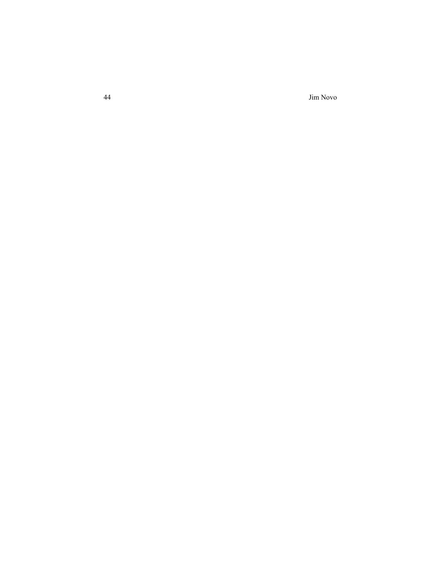Jim Novo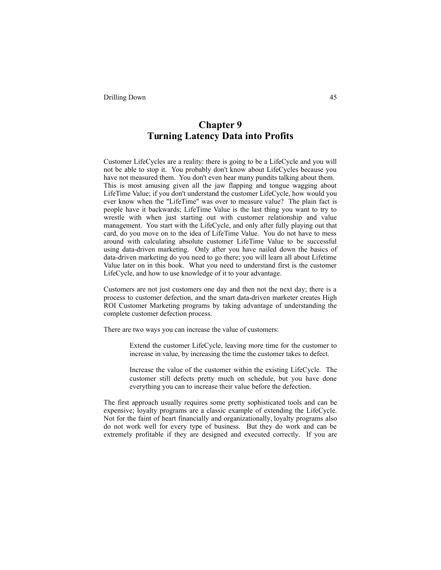# **Chapter 9 Turning Latency Data into Profits**

Customer LifeCycles are a reality: there is going to be a LifeCycle and you will not be able to stop it. You probably don't know about LifeCycles because you have not measured them. You don't even hear many pundits talking about them. This is most amusing given all the jaw flapping and tongue wagging about LifeTime Value; if you don't understand the customer LifeCycle, how would you ever know when the "LifeTime" was over to measure value? The plain fact is people have it backwards; LifeTime Value is the last thing you want to try to wrestle with when just starting out with customer relationship and value management. You start with the LifeCycle, and only after fully playing out that card, do you move on to the idea of LifeTime Value. You do not have to mess around with calculating absolute customer LifeTime Value to be successful using data-driven marketing. Only after you have nailed down the basics of data-driven marketing do you need to go there; you will learn all about Lifetime Value later on in this book. What you need to understand first is the customer LifeCycle, and how to use knowledge of it to your advantage.

Customers are not just customers one day and then not the next day; there is a process to customer defection, and the smart data-driven marketer creates High ROI Customer Marketing programs by taking advantage of understanding the complete customer defection process.

There are two ways you can increase the value of customers:

- Extend the customer LifeCycle, leaving more time for the customer to increase in value, by increasing the time the customer takes to defect.
- Increase the value of the customer within the existing LifeCycle. The customer still defects pretty much on schedule, but you have done everything you can to increase their value before the defection.

The first approach usually requires some pretty sophisticated tools and can be expensive; loyalty programs are a classic example of extending the LifeCycle. Not for the faint of heart financially and organizationally, loyalty programs also do not work well for every type of business. But they do work and can be extremely profitable if they are designed and executed correctly. If you are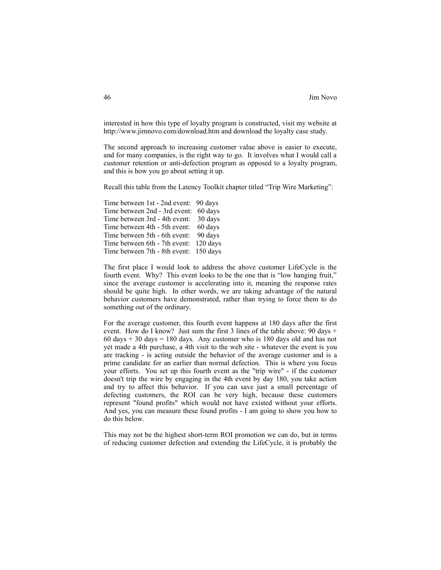interested in how this type of loyalty program is constructed, visit my website at http://www.jimnovo.com/download.htm and download the loyalty case study.

The second approach to increasing customer value above is easier to execute, and for many companies, is the right way to go. It involves what I would call a customer retention or anti-defection program as opposed to a loyalty program, and this is how you go about setting it up.

Recall this table from the Latency Toolkit chapter titled "Trip Wire Marketing":

Time between 1st - 2nd event: 90 days Time between 2nd - 3rd event: 60 days Time between 3rd - 4th event: 30 days Time between 4th - 5th event: 60 days Time between 5th - 6th event: 90 days Time between 6th - 7th event: 120 days Time between 7th - 8th event: 150 days

The first place I would look to address the above customer LifeCycle is the fourth event. Why? This event looks to be the one that is "low hanging fruit," since the average customer is accelerating into it, meaning the response rates should be quite high. In other words, we are taking advantage of the natural behavior customers have demonstrated, rather than trying to force them to do something out of the ordinary.

For the average customer, this fourth event happens at 180 days after the first event. How do I know? Just sum the first 3 lines of the table above: 90 days +  $60 \text{ days} + 30 \text{ days} = 180 \text{ days}$ . Any customer who is 180 days old and has not yet made a 4th purchase, a 4th visit to the web site - whatever the event is you are tracking - is acting outside the behavior of the average customer and is a prime candidate for an earlier than normal defection. This is where you focus your efforts. You set up this fourth event as the "trip wire" - if the customer doesn't trip the wire by engaging in the 4th event by day 180, you take action and try to affect this behavior. If you can save just a small percentage of defecting customers, the ROI can be very high, because these customers represent "found profits" which would not have existed without your efforts. And yes, you can measure these found profits - I am going to show you how to do this below.

This may not be the highest short-term ROI promotion we can do, but in terms of reducing customer defection and extending the LifeCycle, it is probably the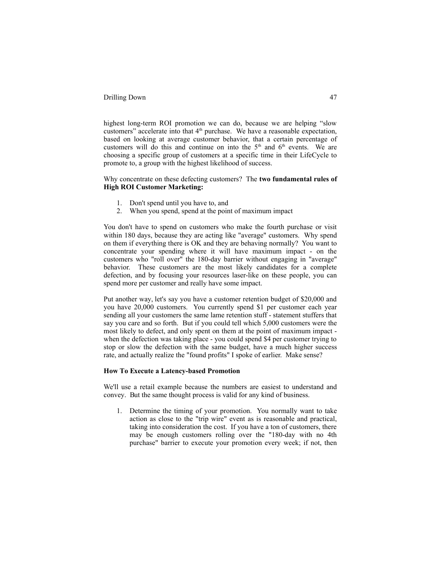highest long-term ROI promotion we can do, because we are helping "slow customers" accelerate into that 4<sup>th</sup> purchase. We have a reasonable expectation, based on looking at average customer behavior, that a certain percentage of customers will do this and continue on into the  $5<sup>th</sup>$  and  $6<sup>th</sup>$  events. We are choosing a specific group of customers at a specific time in their LifeCycle to promote to, a group with the highest likelihood of success.

Why concentrate on these defecting customers? The **two fundamental rules of High ROI Customer Marketing:**

- 1. Don't spend until you have to, and
- 2. When you spend, spend at the point of maximum impact

You don't have to spend on customers who make the fourth purchase or visit within 180 days, because they are acting like "average" customers. Why spend on them if everything there is OK and they are behaving normally? You want to concentrate your spending where it will have maximum impact - on the customers who "roll over" the 180-day barrier without engaging in "average" behavior. These customers are the most likely candidates for a complete defection, and by focusing your resources laser-like on these people, you can spend more per customer and really have some impact.

Put another way, let's say you have a customer retention budget of \$20,000 and you have 20,000 customers. You currently spend \$1 per customer each year sending all your customers the same lame retention stuff - statement stuffers that say you care and so forth. But if you could tell which 5,000 customers were the most likely to defect, and only spent on them at the point of maximum impact when the defection was taking place - you could spend \$4 per customer trying to stop or slow the defection with the same budget, have a much higher success rate, and actually realize the "found profits" I spoke of earlier. Make sense?

#### **How To Execute a Latency-based Promotion**

We'll use a retail example because the numbers are easiest to understand and convey. But the same thought process is valid for any kind of business.

1. Determine the timing of your promotion. You normally want to take action as close to the "trip wire" event as is reasonable and practical, taking into consideration the cost. If you have a ton of customers, there may be enough customers rolling over the "180-day with no 4th purchase" barrier to execute your promotion every week; if not, then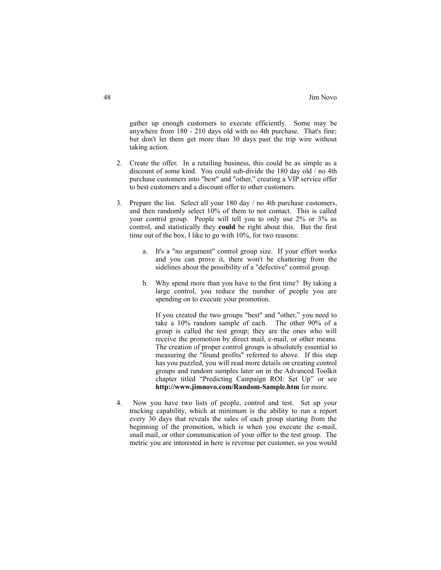gather up enough customers to execute efficiently. Some may be anywhere from 180 - 210 days old with no 4th purchase. That's fine; but don't let them get more than 30 days past the trip wire without taking action.

- 2. Create the offer. In a retailing business, this could be as simple as a discount of some kind. You could sub-divide the 180 day old / no 4th purchase customers into "best" and "other," creating a VIP service offer to best customers and a discount offer to other customers.
- 3. Prepare the list. Select all your 180 day / no 4th purchase customers, and then randomly select 10% of them to not contact. This is called your control group. People will tell you to only use 2% or 3% as control, and statistically they **could** be right about this. But the first time out of the box, I like to go with 10%, for two reasons:
	- a. It's a "no argument" control group size. If your effort works and you can prove it, there won't be chattering from the sidelines about the possibility of a "defective" control group.
	- b. Why spend more than you have to the first time? By taking a large control, you reduce the number of people you are spending on to execute your promotion.

If you created the two groups "best" and "other," you need to take a 10% random sample of each. The other 90% of a group is called the test group; they are the ones who will receive the promotion by direct mail, e-mail, or other means. The creation of proper control groups is absolutely essential to measuring the "found profits" referred to above. If this step has you puzzled, you will read more details on creating control groups and random samples later on in the Advanced Toolkit chapter titled "Predicting Campaign ROI: Set Up" or see **http://www.jimnovo.com/Random-Sample.htm** for more.

4. Now you have two lists of people, control and test. Set up your tracking capability, which at minimum is the ability to run a report every 30 days that reveals the sales of each group starting from the beginning of the promotion, which is when you execute the e-mail, snail mail, or other communication of your offer to the test group. The metric you are interested in here is revenue per customer, so you would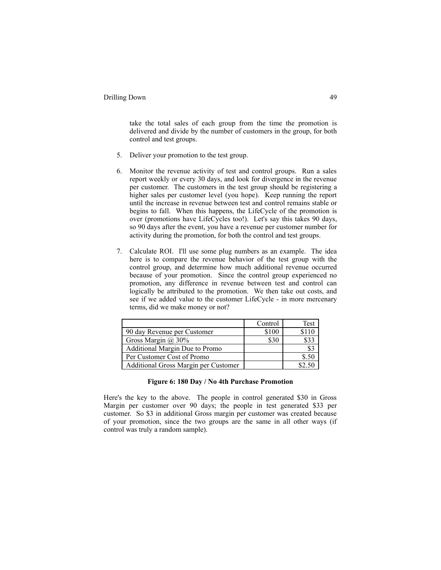take the total sales of each group from the time the promotion is delivered and divide by the number of customers in the group, for both control and test groups.

- 5. Deliver your promotion to the test group.
- 6. Monitor the revenue activity of test and control groups. Run a sales report weekly or every 30 days, and look for divergence in the revenue per customer. The customers in the test group should be registering a higher sales per customer level (you hope). Keep running the report until the increase in revenue between test and control remains stable or begins to fall. When this happens, the LifeCycle of the promotion is over (promotions have LifeCycles too!). Let's say this takes 90 days, so 90 days after the event, you have a revenue per customer number for activity during the promotion, for both the control and test groups.
- 7. Calculate ROI. I'll use some plug numbers as an example. The idea here is to compare the revenue behavior of the test group with the control group, and determine how much additional revenue occurred because of your promotion. Since the control group experienced no promotion, any difference in revenue between test and control can logically be attributed to the promotion. We then take out costs, and see if we added value to the customer LifeCycle - in more mercenary terms, did we make money or not?

|                                      | Control | Test  |
|--------------------------------------|---------|-------|
| 90 day Revenue per Customer          | \$100   |       |
| Gross Margin $\omega$ 30%            |         | \$33  |
| Additional Margin Due to Promo       |         |       |
| Per Customer Cost of Promo           |         | \$.50 |
| Additional Gross Margin per Customer |         |       |

#### **Figure 6: 180 Day / No 4th Purchase Promotion**

Here's the key to the above. The people in control generated \$30 in Gross Margin per customer over 90 days; the people in test generated \$33 per customer. So \$3 in additional Gross margin per customer was created because of your promotion, since the two groups are the same in all other ways (if control was truly a random sample).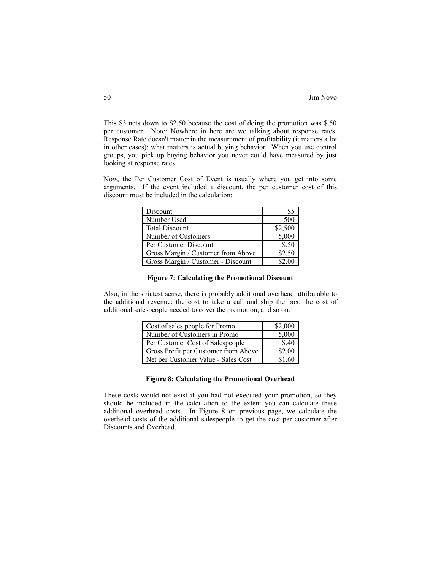This \$3 nets down to \$2.50 because the cost of doing the promotion was \$.50 per customer. Note: Nowhere in here are we talking about response rates. Response Rate doesn't matter in the measurement of profitability (it matters a lot in other cases); what matters is actual buying behavior. When you use control groups, you pick up buying behavior you never could have measured by just looking at response rates.

Now, the Per Customer Cost of Event is usually where you get into some arguments. If the event included a discount, the per customer cost of this discount must be included in the calculation:

| Discount                           | S5      |
|------------------------------------|---------|
| Number Used                        | 500     |
| <b>Total Discount</b>              | \$2,500 |
| Number of Customers                | 5,000   |
| Per Customer Discount              | \$.50   |
| Gross Margin / Customer from Above | \$2.50  |
| Gross Margin / Customer - Discount |         |

### **Figure 7: Calculating the Promotional Discount**

Also, in the strictest sense, there is probably additional overhead attributable to the additional revenue: the cost to take a call and ship the box, the cost of additional salespeople needed to cover the promotion, and so on.

| Cost of sales people for Promo       | \$2,000 |
|--------------------------------------|---------|
| Number of Customers in Promo         | 5,000   |
| Per Customer Cost of Salespeople     | \$.40   |
| Gross Profit per Customer from Above | \$2.00  |
| Net per Customer Value - Sales Cost  |         |

### **Figure 8: Calculating the Promotional Overhead**

These costs would not exist if you had not executed your promotion, so they should be included in the calculation to the extent you can calculate these additional overhead costs. In Figure 8 on previous page, we calculate the overhead costs of the additional salespeople to get the cost per customer after Discounts and Overhead.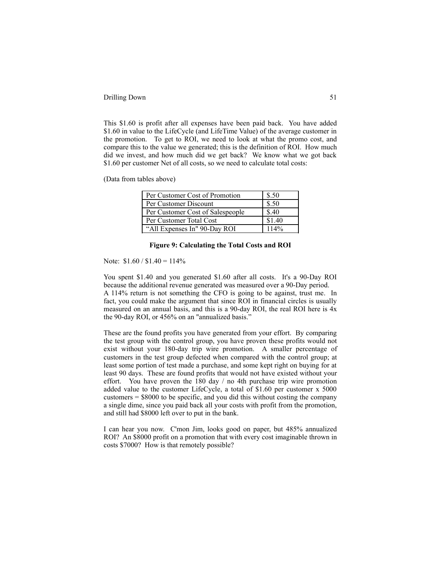This \$1.60 is profit after all expenses have been paid back. You have added \$1.60 in value to the LifeCycle (and LifeTime Value) of the average customer in the promotion. To get to ROI, we need to look at what the promo cost, and compare this to the value we generated; this is the definition of ROI. How much did we invest, and how much did we get back? We know what we got back \$1.60 per customer Net of all costs, so we need to calculate total costs:

(Data from tables above)

| Per Customer Cost of Promotion   | \$.50  |
|----------------------------------|--------|
| Per Customer Discount            | \$.50  |
| Per Customer Cost of Salespeople | \$.40  |
| Per Customer Total Cost          | \$1.40 |
| "All Expenses In" 90-Day ROI     | 114%   |

#### **Figure 9: Calculating the Total Costs and ROI**

Note:  $$1.60 / $1.40 = 114\%$ 

You spent \$1.40 and you generated \$1.60 after all costs. It's a 90-Day ROI because the additional revenue generated was measured over a 90-Day period. A 114% return is not something the CFO is going to be against, trust me. In fact, you could make the argument that since ROI in financial circles is usually measured on an annual basis, and this is a 90-day ROI, the real ROI here is 4x the 90-day ROI, or 456% on an "annualized basis."

These are the found profits you have generated from your effort. By comparing the test group with the control group, you have proven these profits would not exist without your 180-day trip wire promotion. A smaller percentage of customers in the test group defected when compared with the control group; at least some portion of test made a purchase, and some kept right on buying for at least 90 days. These are found profits that would not have existed without your effort. You have proven the 180 day / no 4th purchase trip wire promotion added value to the customer LifeCycle, a total of \$1.60 per customer x 5000 customers  $= $8000$  to be specific, and you did this without costing the company a single dime, since you paid back all your costs with profit from the promotion, and still had \$8000 left over to put in the bank.

I can hear you now. C'mon Jim, looks good on paper, but 485% annualized ROI? An \$8000 profit on a promotion that with every cost imaginable thrown in costs \$7000? How is that remotely possible?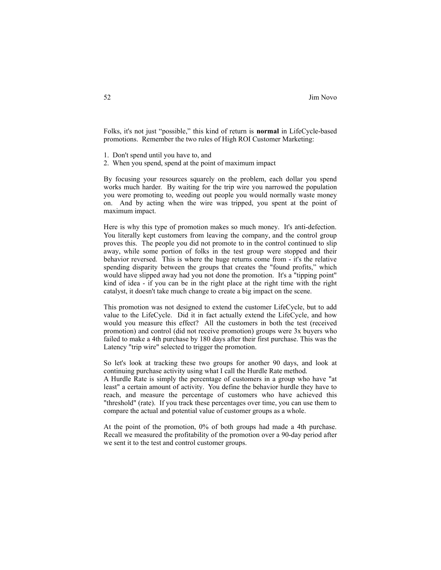Folks, it's not just "possible," this kind of return is **normal** in LifeCycle-based promotions. Remember the two rules of High ROI Customer Marketing:

1. Don't spend until you have to, and

2. When you spend, spend at the point of maximum impact

By focusing your resources squarely on the problem, each dollar you spend works much harder. By waiting for the trip wire you narrowed the population you were promoting to, weeding out people you would normally waste money on. And by acting when the wire was tripped, you spent at the point of maximum impact.

Here is why this type of promotion makes so much money. It's anti-defection. You literally kept customers from leaving the company, and the control group proves this. The people you did not promote to in the control continued to slip away, while some portion of folks in the test group were stopped and their behavior reversed. This is where the huge returns come from - it's the relative spending disparity between the groups that creates the "found profits," which would have slipped away had you not done the promotion. It's a "tipping point" kind of idea - if you can be in the right place at the right time with the right catalyst, it doesn't take much change to create a big impact on the scene.

This promotion was not designed to extend the customer LifeCycle, but to add value to the LifeCycle. Did it in fact actually extend the LifeCycle, and how would you measure this effect? All the customers in both the test (received promotion) and control (did not receive promotion) groups were 3x buyers who failed to make a 4th purchase by 180 days after their first purchase. This was the Latency "trip wire" selected to trigger the promotion.

So let's look at tracking these two groups for another 90 days, and look at continuing purchase activity using what I call the Hurdle Rate method.

A Hurdle Rate is simply the percentage of customers in a group who have "at least" a certain amount of activity. You define the behavior hurdle they have to reach, and measure the percentage of customers who have achieved this "threshold" (rate). If you track these percentages over time, you can use them to compare the actual and potential value of customer groups as a whole.

At the point of the promotion, 0% of both groups had made a 4th purchase. Recall we measured the profitability of the promotion over a 90-day period after we sent it to the test and control customer groups.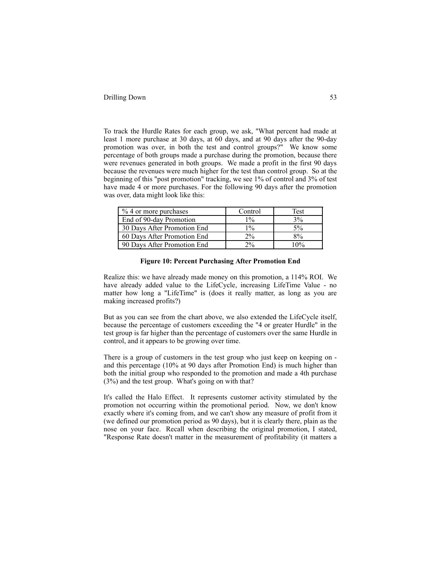To track the Hurdle Rates for each group, we ask, "What percent had made at least 1 more purchase at 30 days, at 60 days, and at 90 days after the 90-day promotion was over, in both the test and control groups?" We know some percentage of both groups made a purchase during the promotion, because there were revenues generated in both groups. We made a profit in the first 90 days because the revenues were much higher for the test than control group. So at the beginning of this "post promotion" tracking, we see 1% of control and 3% of test have made 4 or more purchases. For the following 90 days after the promotion was over, data might look like this:

| % 4 or more purchases       | Control | Test   |
|-----------------------------|---------|--------|
| End of 90-day Promotion     | $1\%$   | 3%     |
| 30 Days After Promotion End | $1\%$   | $5\%$  |
| 60 Days After Promotion End | 2%      | 8%     |
| 90 Days After Promotion End | $2\%$   | $10\%$ |

#### **Figure 10: Percent Purchasing After Promotion End**

Realize this: we have already made money on this promotion, a 114% ROI. We have already added value to the LifeCycle, increasing LifeTime Value - no matter how long a "LifeTime" is (does it really matter, as long as you are making increased profits?)

But as you can see from the chart above, we also extended the LifeCycle itself, because the percentage of customers exceeding the "4 or greater Hurdle" in the test group is far higher than the percentage of customers over the same Hurdle in control, and it appears to be growing over time.

There is a group of customers in the test group who just keep on keeping on and this percentage (10% at 90 days after Promotion End) is much higher than both the initial group who responded to the promotion and made a 4th purchase (3%) and the test group. What's going on with that?

It's called the Halo Effect. It represents customer activity stimulated by the promotion not occurring within the promotional period. Now, we don't know exactly where it's coming from, and we can't show any measure of profit from it (we defined our promotion period as 90 days), but it is clearly there, plain as the nose on your face. Recall when describing the original promotion, I stated, "Response Rate doesn't matter in the measurement of profitability (it matters a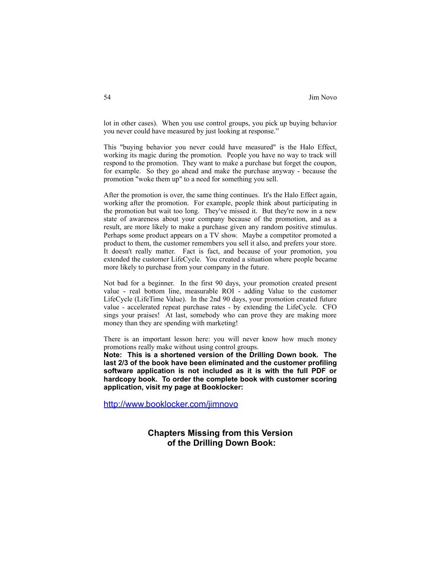lot in other cases). When you use control groups, you pick up buying behavior you never could have measured by just looking at response."

This "buying behavior you never could have measured" is the Halo Effect, working its magic during the promotion. People you have no way to track will respond to the promotion. They want to make a purchase but forget the coupon, for example. So they go ahead and make the purchase anyway - because the promotion "woke them up" to a need for something you sell.

After the promotion is over, the same thing continues. It's the Halo Effect again, working after the promotion. For example, people think about participating in the promotion but wait too long. They've missed it. But they're now in a new state of awareness about your company because of the promotion, and as a result, are more likely to make a purchase given any random positive stimulus. Perhaps some product appears on a TV show. Maybe a competitor promoted a product to them, the customer remembers you sell it also, and prefers your store. It doesn't really matter. Fact is fact, and because of your promotion, you extended the customer LifeCycle. You created a situation where people became more likely to purchase from your company in the future.

Not bad for a beginner. In the first 90 days, your promotion created present value - real bottom line, measurable ROI - adding Value to the customer LifeCycle (LifeTime Value). In the 2nd 90 days, your promotion created future value - accelerated repeat purchase rates - by extending the LifeCycle. CFO sings your praises! At last, somebody who can prove they are making more money than they are spending with marketing!

There is an important lesson here: you will never know how much money promotions really make without using control groups.

**Note: This is a shortened version of the Drilling Down book. The last 2/3 of the book have been eliminated and the customer profiling software application is not included as it is with the full PDF or hardcopy book. To order the complete book with customer scoring application, visit my page at Booklocker:**

<http://www.booklocker.com/jimnovo>

# **Chapters Missing from this Version of the Drilling Down Book:**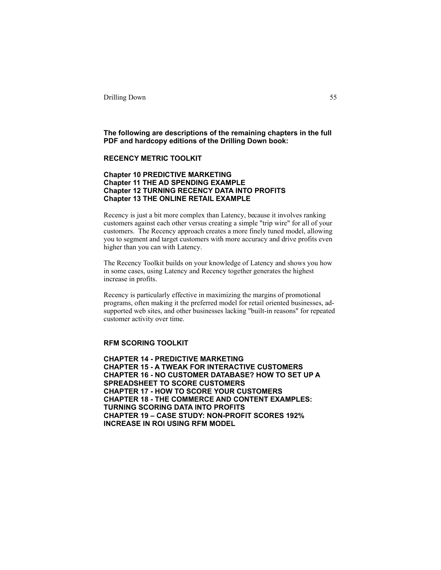**The following are descriptions of the remaining chapters in the full PDF and hardcopy editions of the Drilling Down book:**

# **RECENCY METRIC TOOLKIT**

# **Chapter 10 PREDICTIVE MARKETING Chapter 11 THE AD SPENDING EXAMPLE Chapter 12 TURNING RECENCY DATA INTO PROFITS Chapter 13 THE ONLINE RETAIL EXAMPLE**

Recency is just a bit more complex than Latency, because it involves ranking customers against each other versus creating a simple "trip wire" for all of your customers. The Recency approach creates a more finely tuned model, allowing you to segment and target customers with more accuracy and drive profits even higher than you can with Latency.

The Recency Toolkit builds on your knowledge of Latency and shows you how in some cases, using Latency and Recency together generates the highest increase in profits.

Recency is particularly effective in maximizing the margins of promotional programs, often making it the preferred model for retail oriented businesses, adsupported web sites, and other businesses lacking "built-in reasons" for repeated customer activity over time.

### **RFM SCORING TOOLKIT**

**CHAPTER 14 - PREDICTIVE MARKETING CHAPTER 15 - A TWEAK FOR INTERACTIVE CUSTOMERS CHAPTER 16 - NO CUSTOMER DATABASE? HOW TO SET UP A SPREADSHEET TO SCORE CUSTOMERS CHAPTER 17 - HOW TO SCORE YOUR CUSTOMERS CHAPTER 18 - THE COMMERCE AND CONTENT EXAMPLES: TURNING SCORING DATA INTO PROFITS CHAPTER 19 – CASE STUDY: NON-PROFIT SCORES 192% INCREASE IN ROI USING RFM MODEL**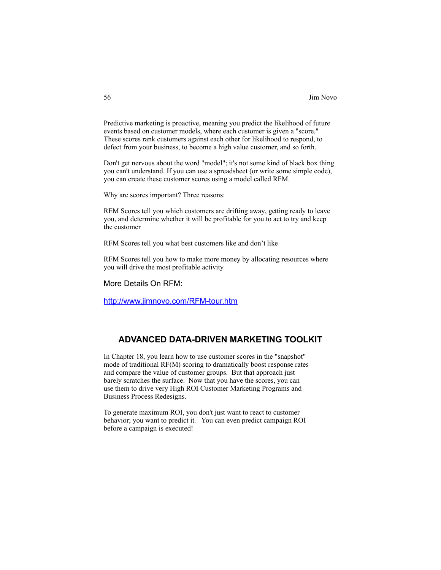Predictive marketing is proactive, meaning you predict the likelihood of future events based on customer models, where each customer is given a "score." These scores rank customers against each other for likelihood to respond, to defect from your business, to become a high value customer, and so forth.

Don't get nervous about the word "model"; it's not some kind of black box thing you can't understand. If you can use a spreadsheet (or write some simple code), you can create these customer scores using a model called RFM.

Why are scores important? Three reasons:

RFM Scores tell you which customers are drifting away, getting ready to leave you, and determine whether it will be profitable for you to act to try and keep the customer

RFM Scores tell you what best customers like and don't like

RFM Scores tell you how to make more money by allocating resources where you will drive the most profitable activity

More Details On RFM:

<http://www.jimnovo.com/RFM-tour.htm>

# **ADVANCED DATA-DRIVEN MARKETING TOOLKIT**

In Chapter 18, you learn how to use customer scores in the "snapshot" mode of traditional RF(M) scoring to dramatically boost response rates and compare the value of customer groups. But that approach just barely scratches the surface. Now that you have the scores, you can use them to drive very High ROI Customer Marketing Programs and Business Process Redesigns.

To generate maximum ROI, you don't just want to react to customer behavior; you want to predict it. You can even predict campaign ROI before a campaign is executed!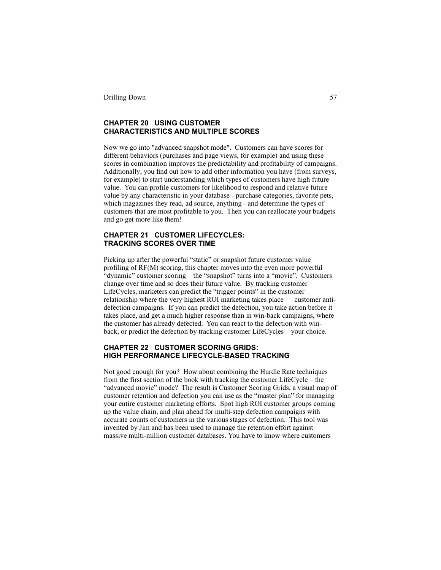## **CHAPTER 20 USING CUSTOMER CHARACTERISTICS AND MULTIPLE SCORES**

Now we go into "advanced snapshot mode". Customers can have scores for different behaviors (purchases and page views, for example) and using these scores in combination improves the predictability and profitability of campaigns. Additionally, you find out how to add other information you have (from surveys, for example) to start understanding which types of customers have high future value. You can profile customers for likelihood to respond and relative future value by any characteristic in your database - purchase categories, favorite pets, which magazines they read, ad source, anything - and determine the types of customers that are most profitable to you. Then you can reallocate your budgets and go get more like them!

## **CHAPTER 21 CUSTOMER LIFECYCLES: TRACKING SCORES OVER TIME**

Picking up after the powerful "static" or snapshot future customer value profiling of RF(M) scoring, this chapter moves into the even more powerful "dynamic" customer scoring – the "snapshot" turns into a "movie". Customers change over time and so does their future value. By tracking customer LifeCycles, marketers can predict the "trigger points" in the customer relationship where the very highest ROI marketing takes place — customer antidefection campaigns. If you can predict the defection, you take action before it takes place, and get a much higher response than in win-back campaigns, where the customer has already defected. You can react to the defection with winback, or predict the defection by tracking customer LifeCycles – your choice.

# **CHAPTER 22 CUSTOMER SCORING GRIDS: HIGH PERFORMANCE LIFECYCLE-BASED TRACKING**

Not good enough for you? How about combining the Hurdle Rate techniques from the first section of the book with tracking the customer LifeCycle – the "advanced movie" mode? The result is Customer Scoring Grids, a visual map of customer retention and defection you can use as the "master plan" for managing your entire customer marketing efforts. Spot high ROI customer groups coming up the value chain, and plan ahead for multi-step defection campaigns with accurate counts of customers in the various stages of defection. This tool was invented by Jim and has been used to manage the retention effort against massive multi-million customer databases. You have to know where customers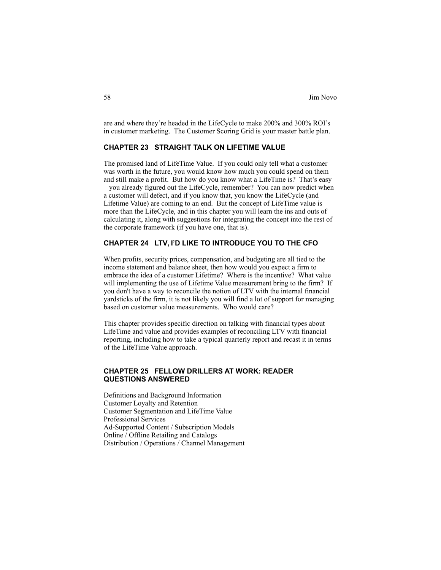are and where they're headed in the LifeCycle to make 200% and 300% ROI's in customer marketing. The Customer Scoring Grid is your master battle plan.

# **CHAPTER 23 STRAIGHT TALK ON LIFETIME VALUE**

The promised land of LifeTime Value. If you could only tell what a customer was worth in the future, you would know how much you could spend on them and still make a profit. But how do you know what a LifeTime is? That's easy – you already figured out the LifeCycle, remember? You can now predict when a customer will defect, and if you know that, you know the LifeCycle (and Lifetime Value) are coming to an end. But the concept of LifeTime value is more than the LifeCycle, and in this chapter you will learn the ins and outs of calculating it, along with suggestions for integrating the concept into the rest of the corporate framework (if you have one, that is).

# **CHAPTER 24 LTV,I'D LIKE TO INTRODUCE YOU TO THE CFO**

When profits, security prices, compensation, and budgeting are all tied to the income statement and balance sheet, then how would you expect a firm to embrace the idea of a customer Lifetime? Where is the incentive? What value will implementing the use of Lifetime Value measurement bring to the firm? If you don't have a way to reconcile the notion of LTV with the internal financial yardsticks of the firm, it is not likely you will find a lot of support for managing based on customer value measurements. Who would care?

This chapter provides specific direction on talking with financial types about LifeTime and value and provides examples of reconciling LTV with financial reporting, including how to take a typical quarterly report and recast it in terms of the LifeTime Value approach.

# **CHAPTER 25 FELLOW DRILLERS AT WORK: READER QUESTIONS ANSWERED**

Definitions and Background Information Customer Loyalty and Retention Customer Segmentation and LifeTime Value Professional Services Ad-Supported Content / Subscription Models Online / Offline Retailing and Catalogs Distribution / Operations / Channel Management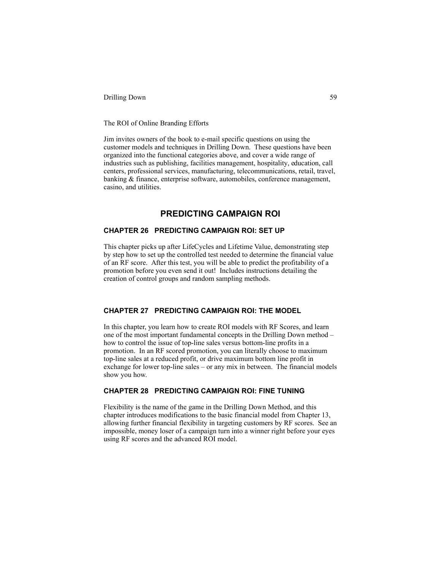#### The ROI of Online Branding Efforts

Jim invites owners of the book to e-mail specific questions on using the customer models and techniques in Drilling Down. These questions have been organized into the functional categories above, and cover a wide range of industries such as publishing, facilities management, hospitality, education, call centers, professional services, manufacturing, telecommunications, retail, travel, banking & finance, enterprise software, automobiles, conference management, casino, and utilities.

# **PREDICTING CAMPAIGN ROI**

# **CHAPTER 26 PREDICTING CAMPAIGN ROI: SET UP**

This chapter picks up after LifeCycles and Lifetime Value, demonstrating step by step how to set up the controlled test needed to determine the financial value of an RF score. After this test, you will be able to predict the profitability of a promotion before you even send it out! Includes instructions detailing the creation of control groups and random sampling methods.

# **CHAPTER 27 PREDICTING CAMPAIGN ROI: THE MODEL**

In this chapter, you learn how to create ROI models with RF Scores, and learn one of the most important fundamental concepts in the Drilling Down method – how to control the issue of top-line sales versus bottom-line profits in a promotion. In an RF scored promotion, you can literally choose to maximum top-line sales at a reduced profit, or drive maximum bottom line profit in exchange for lower top-line sales – or any mix in between. The financial models show you how.

# **CHAPTER 28 PREDICTING CAMPAIGN ROI: FINE TUNING**

Flexibility is the name of the game in the Drilling Down Method, and this chapter introduces modifications to the basic financial model from Chapter 13, allowing further financial flexibility in targeting customers by RF scores. See an impossible, money loser of a campaign turn into a winner right before your eyes using RF scores and the advanced ROI model.